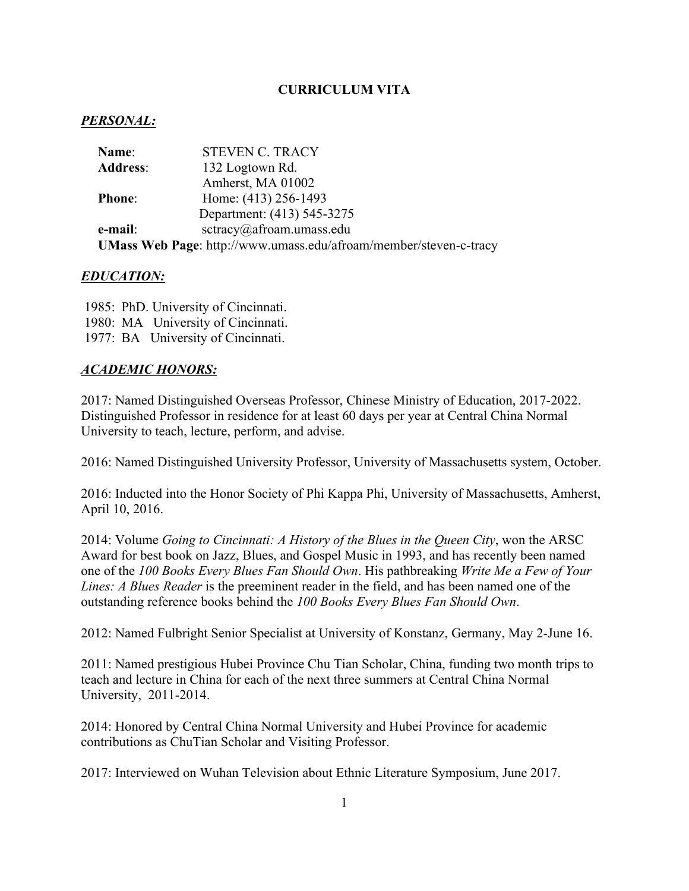# **CURRICULUM VITA**

# *PERSONAL:*

| Name:           | <b>STEVEN C. TRACY</b>                                            |
|-----------------|-------------------------------------------------------------------|
| <b>Address:</b> | 132 Logtown Rd.                                                   |
|                 | Amherst, MA 01002                                                 |
| <b>Phone:</b>   | Home: (413) 256-1493                                              |
|                 | Department: (413) 545-3275                                        |
| e-mail:         | sctracy@afroam.umass.edu                                          |
|                 | UMass Web Page: http://www.umass.edu/afroam/member/steven-c-tracy |

## *EDUCATION:*

1985: PhD. University of Cincinnati. 1980: MA University of Cincinnati. 1977: BA University of Cincinnati.

## *ACADEMIC HONORS:*

2017: Named Distinguished Overseas Professor, Chinese Ministry of Education, 2017-2022. Distinguished Professor in residence for at least 60 days per year at Central China Normal University to teach, lecture, perform, and advise.

2016: Named Distinguished University Professor, University of Massachusetts system, October.

2016: Inducted into the Honor Society of Phi Kappa Phi, University of Massachusetts, Amherst, April 10, 2016.

2014: Volume *Going to Cincinnati: A History of the Blues in the Queen City*, won the ARSC Award for best book on Jazz, Blues, and Gospel Music in 1993, and has recently been named one of the *100 Books Every Blues Fan Should Own*. His pathbreaking *Write Me a Few of Your Lines: A Blues Reader* is the preeminent reader in the field, and has been named one of the outstanding reference books behind the *100 Books Every Blues Fan Should Own*.

2012: Named Fulbright Senior Specialist at University of Konstanz, Germany, May 2-June 16.

2011: Named prestigious Hubei Province Chu Tian Scholar, China, funding two month trips to teach and lecture in China for each of the next three summers at Central China Normal University, 2011-2014.

2014: Honored by Central China Normal University and Hubei Province for academic contributions as ChuTian Scholar and Visiting Professor.

2017: Interviewed on Wuhan Television about Ethnic Literature Symposium, June 2017.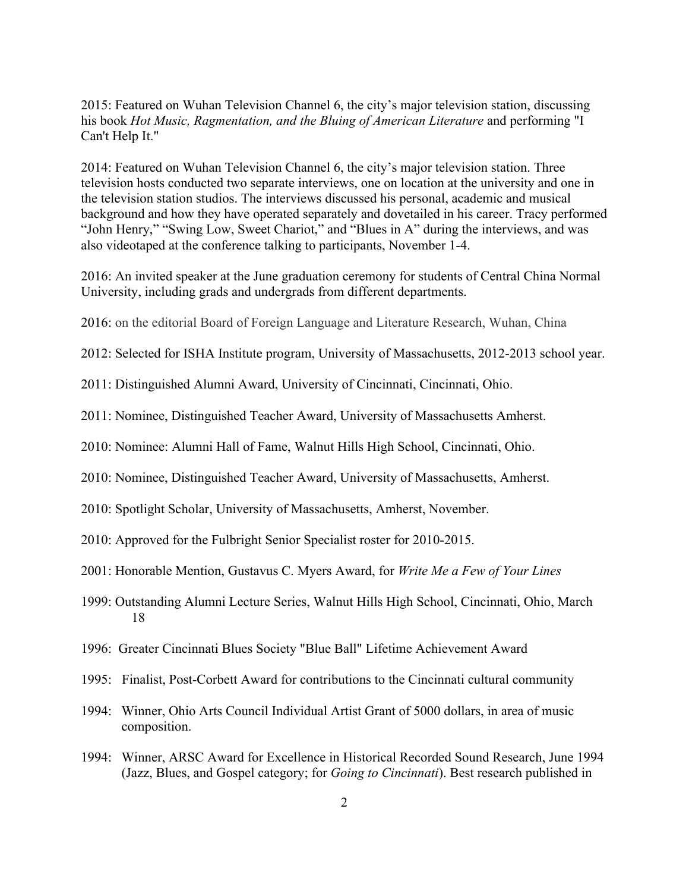2015: Featured on Wuhan Television Channel 6, the city's major television station, discussing his book *Hot Music, Ragmentation, and the Bluing of American Literature* and performing "I Can't Help It."

2014: Featured on Wuhan Television Channel 6, the city's major television station. Three television hosts conducted two separate interviews, one on location at the university and one in the television station studios. The interviews discussed his personal, academic and musical background and how they have operated separately and dovetailed in his career. Tracy performed "John Henry," "Swing Low, Sweet Chariot," and "Blues in A" during the interviews, and was also videotaped at the conference talking to participants, November 1-4.

2016: An invited speaker at the June graduation ceremony for students of Central China Normal University, including grads and undergrads from different departments.

2016: on the editorial Board of Foreign Language and Literature Research, Wuhan, China

2012: Selected for ISHA Institute program, University of Massachusetts, 2012-2013 school year.

2011: Distinguished Alumni Award, University of Cincinnati, Cincinnati, Ohio.

2011: Nominee, Distinguished Teacher Award, University of Massachusetts Amherst.

2010: Nominee: Alumni Hall of Fame, Walnut Hills High School, Cincinnati, Ohio.

2010: Nominee, Distinguished Teacher Award, University of Massachusetts, Amherst.

2010: Spotlight Scholar, University of Massachusetts, Amherst, November.

2010: Approved for the Fulbright Senior Specialist roster for 2010-2015.

2001: Honorable Mention, Gustavus C. Myers Award, for *Write Me a Few of Your Lines*

- 1999: Outstanding Alumni Lecture Series, Walnut Hills High School, Cincinnati, Ohio, March 18
- 1996: Greater Cincinnati Blues Society "Blue Ball" Lifetime Achievement Award
- 1995: Finalist, Post-Corbett Award for contributions to the Cincinnati cultural community
- 1994: Winner, Ohio Arts Council Individual Artist Grant of 5000 dollars, in area of music composition.
- 1994: Winner, ARSC Award for Excellence in Historical Recorded Sound Research, June 1994 (Jazz, Blues, and Gospel category; for *Going to Cincinnati*). Best research published in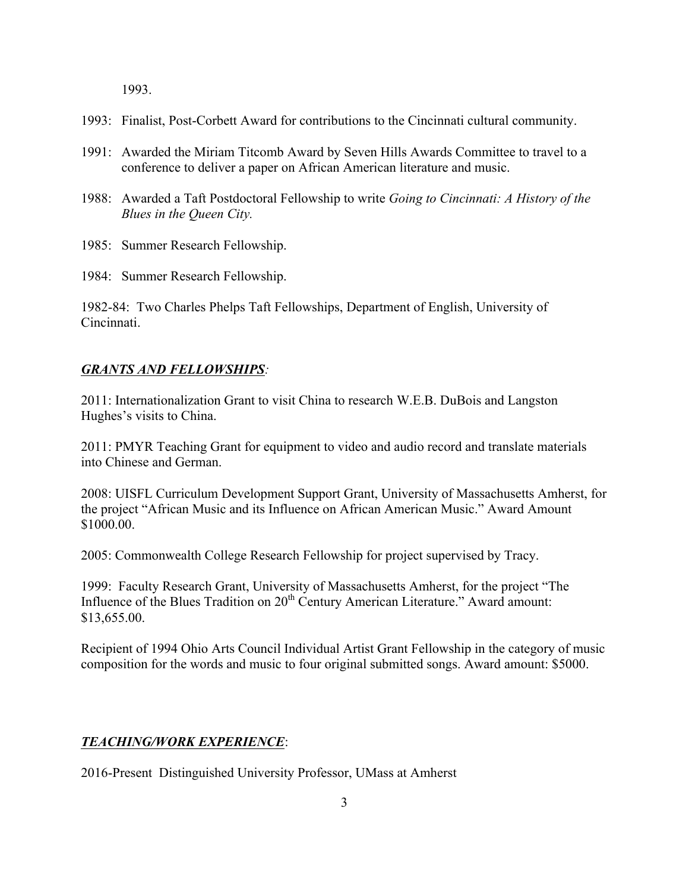1993.

- 1993: Finalist, Post-Corbett Award for contributions to the Cincinnati cultural community.
- 1991: Awarded the Miriam Titcomb Award by Seven Hills Awards Committee to travel to a conference to deliver a paper on African American literature and music.
- 1988: Awarded a Taft Postdoctoral Fellowship to write *Going to Cincinnati: A History of the Blues in the Queen City.*
- 1985: Summer Research Fellowship.
- 1984: Summer Research Fellowship.

1982-84: Two Charles Phelps Taft Fellowships, Department of English, University of Cincinnati.

#### *GRANTS AND FELLOWSHIPS:*

2011: Internationalization Grant to visit China to research W.E.B. DuBois and Langston Hughes's visits to China.

2011: PMYR Teaching Grant for equipment to video and audio record and translate materials into Chinese and German.

2008: UISFL Curriculum Development Support Grant, University of Massachusetts Amherst, for the project "African Music and its Influence on African American Music." Award Amount \$1000.00.

2005: Commonwealth College Research Fellowship for project supervised by Tracy.

1999: Faculty Research Grant, University of Massachusetts Amherst, for the project "The Influence of the Blues Tradition on 20<sup>th</sup> Century American Literature." Award amount: \$13,655.00.

Recipient of 1994 Ohio Arts Council Individual Artist Grant Fellowship in the category of music composition for the words and music to four original submitted songs. Award amount: \$5000.

#### *TEACHING/WORK EXPERIENCE*:

2016-Present Distinguished University Professor, UMass at Amherst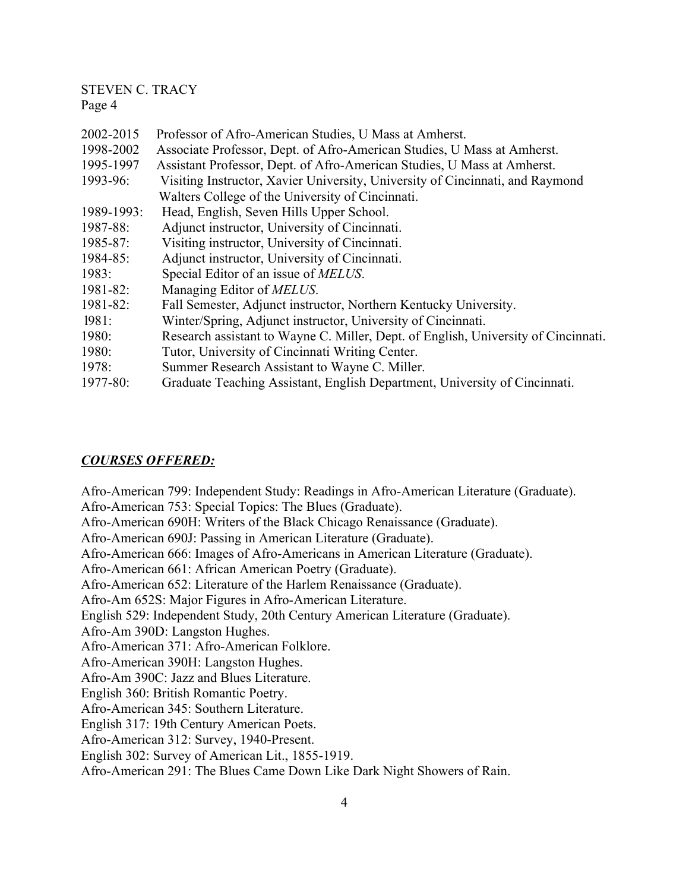| 2002-2015  | Professor of Afro-American Studies, U Mass at Amherst.                             |
|------------|------------------------------------------------------------------------------------|
| 1998-2002  | Associate Professor, Dept. of Afro-American Studies, U Mass at Amherst.            |
| 1995-1997  | Assistant Professor, Dept. of Afro-American Studies, U Mass at Amherst.            |
| 1993-96:   | Visiting Instructor, Xavier University, University of Cincinnati, and Raymond      |
|            | Walters College of the University of Cincinnati.                                   |
| 1989-1993: | Head, English, Seven Hills Upper School.                                           |
| 1987-88:   | Adjunct instructor, University of Cincinnati.                                      |
| 1985-87:   | Visiting instructor, University of Cincinnati.                                     |
| 1984-85:   | Adjunct instructor, University of Cincinnati.                                      |
| 1983:      | Special Editor of an issue of <i>MELUS</i> .                                       |
| 1981-82:   | Managing Editor of <i>MELUS</i> .                                                  |
| 1981-82:   | Fall Semester, Adjunct instructor, Northern Kentucky University.                   |
| 1981:      | Winter/Spring, Adjunct instructor, University of Cincinnati.                       |
| 1980:      | Research assistant to Wayne C. Miller, Dept. of English, University of Cincinnati. |
| 1980:      | Tutor, University of Cincinnati Writing Center.                                    |
| 1978:      | Summer Research Assistant to Wayne C. Miller.                                      |
| 1977-80:   | Graduate Teaching Assistant, English Department, University of Cincinnati.         |

### *COURSES OFFERED:*

Afro-American 799: Independent Study: Readings in Afro-American Literature (Graduate). Afro-American 753: Special Topics: The Blues (Graduate). Afro-American 690H: Writers of the Black Chicago Renaissance (Graduate). Afro-American 690J: Passing in American Literature (Graduate). Afro-American 666: Images of Afro-Americans in American Literature (Graduate). Afro-American 661: African American Poetry (Graduate). Afro-American 652: Literature of the Harlem Renaissance (Graduate). Afro-Am 652S: Major Figures in Afro-American Literature. English 529: Independent Study, 20th Century American Literature (Graduate). Afro-Am 390D: Langston Hughes. Afro-American 371: Afro-American Folklore. Afro-American 390H: Langston Hughes. Afro-Am 390C: Jazz and Blues Literature. English 360: British Romantic Poetry. Afro-American 345: Southern Literature. English 317: 19th Century American Poets. Afro-American 312: Survey, 1940-Present. English 302: Survey of American Lit., 1855-1919. Afro-American 291: The Blues Came Down Like Dark Night Showers of Rain.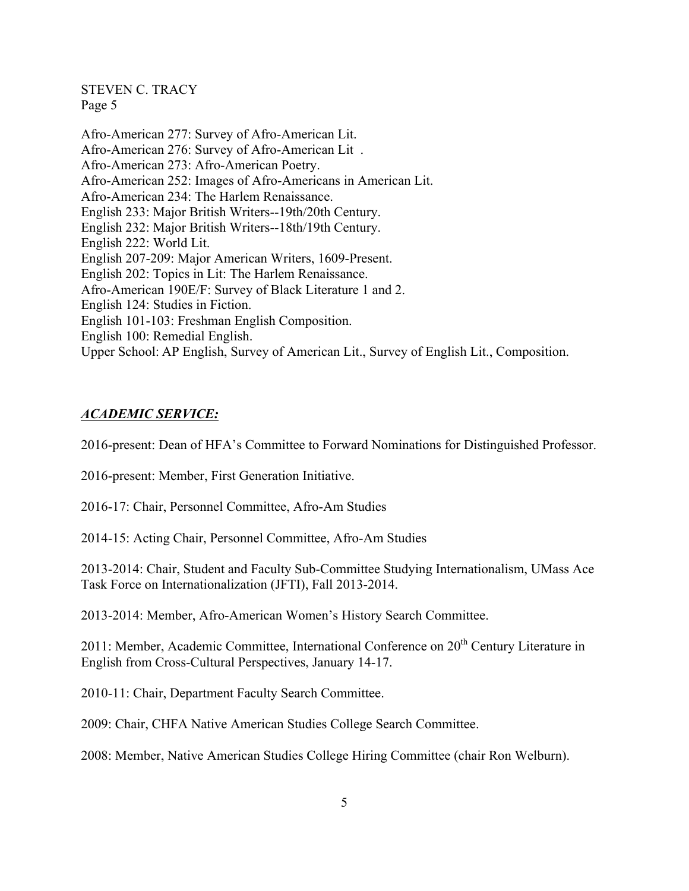Afro-American 277: Survey of Afro-American Lit. Afro-American 276: Survey of Afro-American Lit . Afro-American 273: Afro-American Poetry. Afro-American 252: Images of Afro-Americans in American Lit. Afro-American 234: The Harlem Renaissance. English 233: Major British Writers--19th/20th Century. English 232: Major British Writers--18th/19th Century. English 222: World Lit. English 207-209: Major American Writers, 1609-Present. English 202: Topics in Lit: The Harlem Renaissance. Afro-American 190E/F: Survey of Black Literature 1 and 2. English 124: Studies in Fiction. English 101-103: Freshman English Composition. English 100: Remedial English. Upper School: AP English, Survey of American Lit., Survey of English Lit., Composition.

## *ACADEMIC SERVICE:*

2016-present: Dean of HFA's Committee to Forward Nominations for Distinguished Professor.

2016-present: Member, First Generation Initiative.

2016-17: Chair, Personnel Committee, Afro-Am Studies

2014-15: Acting Chair, Personnel Committee, Afro-Am Studies

2013-2014: Chair, Student and Faculty Sub-Committee Studying Internationalism, UMass Ace Task Force on Internationalization (JFTI), Fall 2013-2014.

2013-2014: Member, Afro-American Women's History Search Committee.

2011: Member, Academic Committee, International Conference on 20<sup>th</sup> Century Literature in English from Cross-Cultural Perspectives, January 14-17.

2010-11: Chair, Department Faculty Search Committee.

2009: Chair, CHFA Native American Studies College Search Committee.

2008: Member, Native American Studies College Hiring Committee (chair Ron Welburn).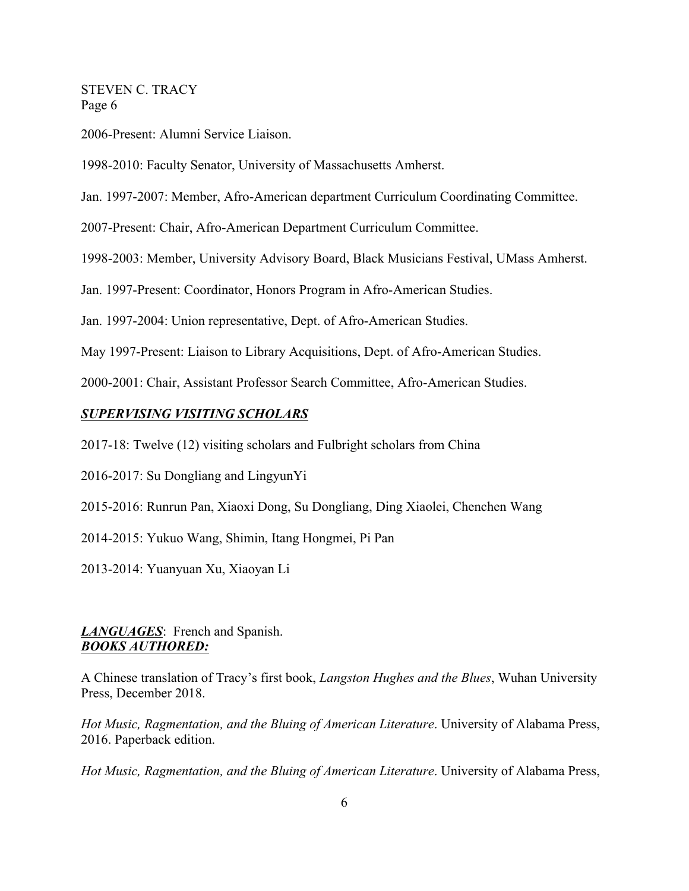2006-Present: Alumni Service Liaison.

1998-2010: Faculty Senator, University of Massachusetts Amherst.

Jan. 1997-2007: Member, Afro-American department Curriculum Coordinating Committee.

2007-Present: Chair, Afro-American Department Curriculum Committee.

1998-2003: Member, University Advisory Board, Black Musicians Festival, UMass Amherst.

Jan. 1997-Present: Coordinator, Honors Program in Afro-American Studies.

Jan. 1997-2004: Union representative, Dept. of Afro-American Studies.

May 1997-Present: Liaison to Library Acquisitions, Dept. of Afro-American Studies.

2000-2001: Chair, Assistant Professor Search Committee, Afro-American Studies.

## *SUPERVISING VISITING SCHOLARS*

2017-18: Twelve (12) visiting scholars and Fulbright scholars from China

2016-2017: Su Dongliang and LingyunYi

2015-2016: Runrun Pan, Xiaoxi Dong, Su Dongliang, Ding Xiaolei, Chenchen Wang

2014-2015: Yukuo Wang, Shimin, Itang Hongmei, Pi Pan

2013-2014: Yuanyuan Xu, Xiaoyan Li

### *LANGUAGES*: French and Spanish. *BOOKS AUTHORED:*

A Chinese translation of Tracy's first book, *Langston Hughes and the Blues*, Wuhan University Press, December 2018.

*Hot Music, Ragmentation, and the Bluing of American Literature*. University of Alabama Press, 2016. Paperback edition.

*Hot Music, Ragmentation, and the Bluing of American Literature*. University of Alabama Press,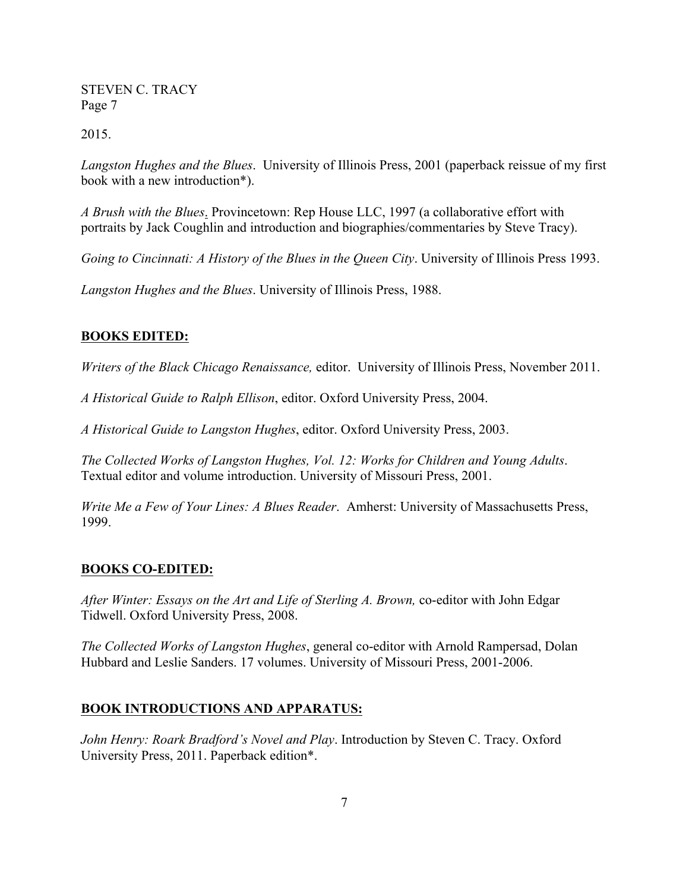2015.

*Langston Hughes and the Blues*. University of Illinois Press, 2001 (paperback reissue of my first book with a new introduction\*).

*A Brush with the Blues*. Provincetown: Rep House LLC, 1997 (a collaborative effort with portraits by Jack Coughlin and introduction and biographies/commentaries by Steve Tracy).

*Going to Cincinnati: A History of the Blues in the Queen City*. University of Illinois Press 1993.

*Langston Hughes and the Blues*. University of Illinois Press, 1988.

# **BOOKS EDITED:**

*Writers of the Black Chicago Renaissance,* editor. University of Illinois Press, November 2011.

*A Historical Guide to Ralph Ellison*, editor. Oxford University Press, 2004.

*A Historical Guide to Langston Hughes*, editor. Oxford University Press, 2003.

*The Collected Works of Langston Hughes, Vol. 12: Works for Children and Young Adults*. Textual editor and volume introduction. University of Missouri Press, 2001.

*Write Me a Few of Your Lines: A Blues Reader*. Amherst: University of Massachusetts Press, 1999.

## **BOOKS CO-EDITED:**

*After Winter: Essays on the Art and Life of Sterling A. Brown,* co-editor with John Edgar Tidwell. Oxford University Press, 2008.

*The Collected Works of Langston Hughes*, general co-editor with Arnold Rampersad, Dolan Hubbard and Leslie Sanders. 17 volumes. University of Missouri Press, 2001-2006.

## **BOOK INTRODUCTIONS AND APPARATUS:**

*John Henry: Roark Bradford's Novel and Play*. Introduction by Steven C. Tracy. Oxford University Press, 2011. Paperback edition\*.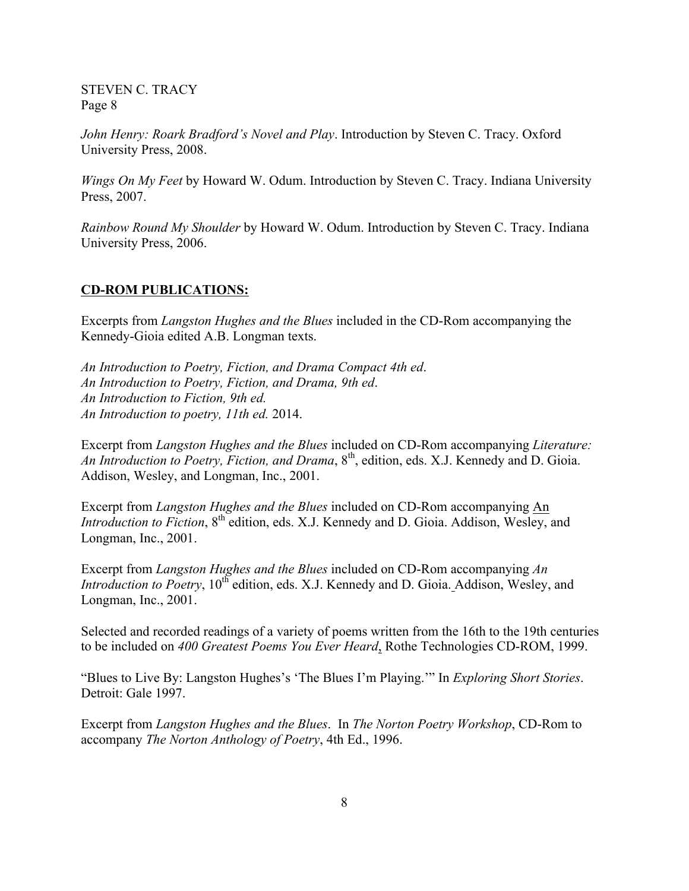*John Henry: Roark Bradford's Novel and Play*. Introduction by Steven C. Tracy. Oxford University Press, 2008.

*Wings On My Feet* by Howard W. Odum. Introduction by Steven C. Tracy. Indiana University Press, 2007.

*Rainbow Round My Shoulder* by Howard W. Odum. Introduction by Steven C. Tracy. Indiana University Press, 2006.

#### **CD-ROM PUBLICATIONS:**

Excerpts from *Langston Hughes and the Blues* included in the CD-Rom accompanying the Kennedy-Gioia edited A.B. Longman texts.

*An Introduction to Poetry, Fiction, and Drama Compact 4th ed*. *An Introduction to Poetry, Fiction, and Drama, 9th ed*. *An Introduction to Fiction, 9th ed. An Introduction to poetry, 11th ed.* 2014.

Excerpt from *Langston Hughes and the Blues* included on CD-Rom accompanying *Literature: An Introduction to Poetry, Fiction, and Drama*, 8th, edition, eds. X.J. Kennedy and D. Gioia. Addison, Wesley, and Longman, Inc., 2001.

Excerpt from *Langston Hughes and the Blues* included on CD-Rom accompanying An *Introduction to Fiction*, 8<sup>th</sup> edition, eds. X.J. Kennedy and D. Gioia. Addison, Wesley, and Longman, Inc., 2001.

Excerpt from *Langston Hughes and the Blues* included on CD-Rom accompanying *An Introduction to Poetry*, 10<sup>th</sup> edition, eds. X.J. Kennedy and D. Gioia. Addison, Wesley, and Longman, Inc., 2001.

Selected and recorded readings of a variety of poems written from the 16th to the 19th centuries to be included on *400 Greatest Poems You Ever Heard*, Rothe Technologies CD-ROM, 1999.

"Blues to Live By: Langston Hughes's 'The Blues I'm Playing.'" In *Exploring Short Stories*. Detroit: Gale 1997.

Excerpt from *Langston Hughes and the Blues*. In *The Norton Poetry Workshop*, CD-Rom to accompany *The Norton Anthology of Poetry*, 4th Ed., 1996.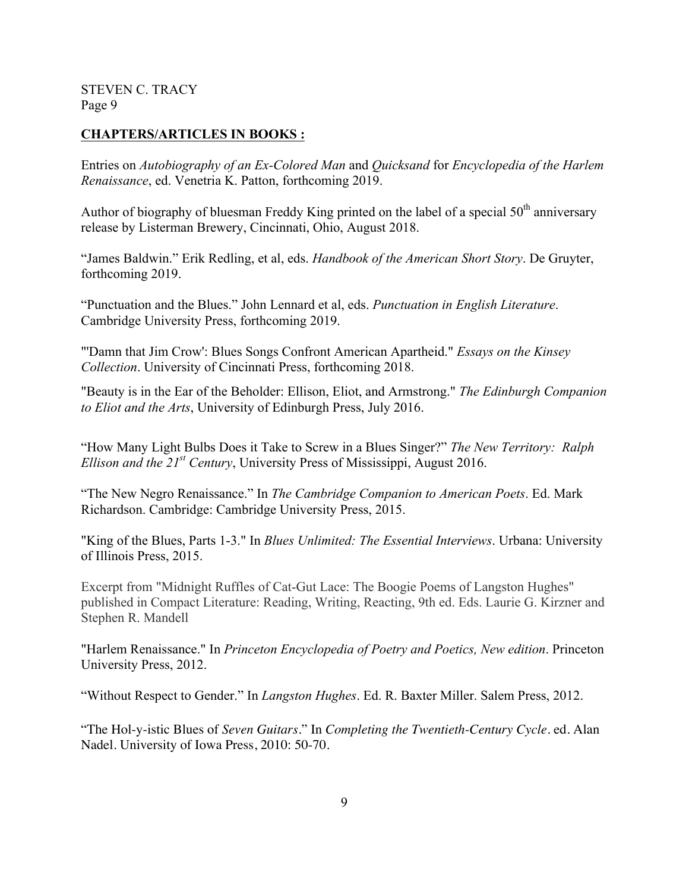## **CHAPTERS/ARTICLES IN BOOKS :**

Entries on *Autobiography of an Ex-Colored Man* and *Quicksand* for *Encyclopedia of the Harlem Renaissance*, ed. Venetria K. Patton, forthcoming 2019.

Author of biography of bluesman Freddy King printed on the label of a special  $50<sup>th</sup>$  anniversary release by Listerman Brewery, Cincinnati, Ohio, August 2018.

"James Baldwin." Erik Redling, et al, eds. *Handbook of the American Short Story*. De Gruyter, forthcoming 2019.

"Punctuation and the Blues." John Lennard et al, eds. *Punctuation in English Literature*. Cambridge University Press, forthcoming 2019.

"'Damn that Jim Crow': Blues Songs Confront American Apartheid." *Essays on the Kinsey Collection*. University of Cincinnati Press, forthcoming 2018.

"Beauty is in the Ear of the Beholder: Ellison, Eliot, and Armstrong." *The Edinburgh Companion to Eliot and the Arts*, University of Edinburgh Press, July 2016.

"How Many Light Bulbs Does it Take to Screw in a Blues Singer?" *The New Territory: Ralph Ellison and the 21st Century*, University Press of Mississippi, August 2016.

"The New Negro Renaissance." In *The Cambridge Companion to American Poets*. Ed. Mark Richardson. Cambridge: Cambridge University Press, 2015.

"King of the Blues, Parts 1-3." In *Blues Unlimited: The Essential Interviews*. Urbana: University of Illinois Press, 2015.

Excerpt from "Midnight Ruffles of Cat-Gut Lace: The Boogie Poems of Langston Hughes" published in Compact Literature: Reading, Writing, Reacting, 9th ed. Eds. Laurie G. Kirzner and Stephen R. Mandell

"Harlem Renaissance." In *Princeton Encyclopedia of Poetry and Poetics, New edition*. Princeton University Press, 2012.

"Without Respect to Gender." In *Langston Hughes*. Ed. R. Baxter Miller. Salem Press, 2012.

"The Hol-y-istic Blues of *Seven Guitars*." In *Completing the Twentieth-Century Cycle*. ed. Alan Nadel. University of Iowa Press, 2010: 50-70.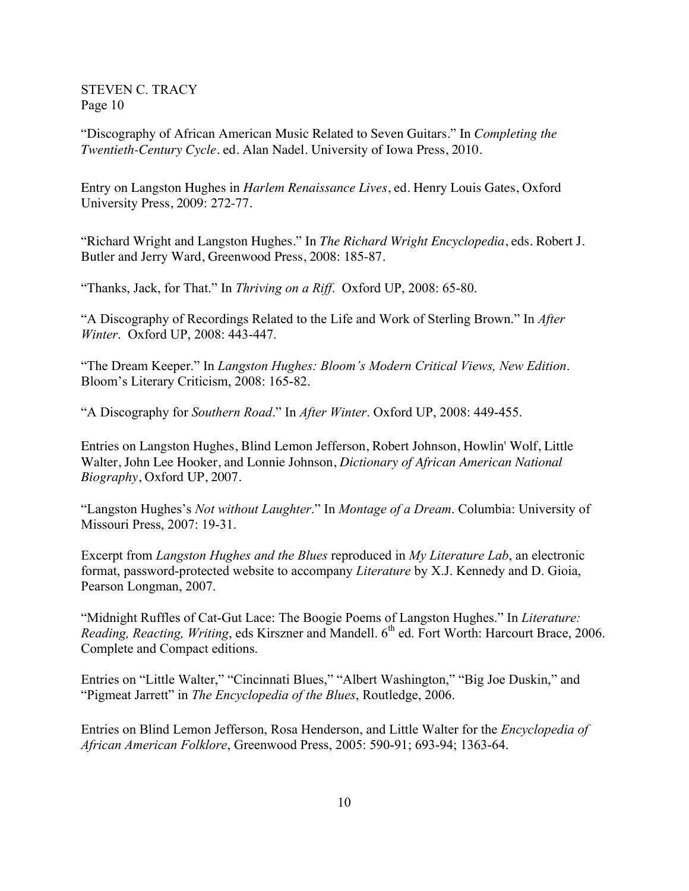"Discography of African American Music Related to Seven Guitars." In *Completing the Twentieth-Century Cycle*. ed. Alan Nadel. University of Iowa Press, 2010.

Entry on Langston Hughes in *Harlem Renaissance Lives*, ed. Henry Louis Gates, Oxford University Press, 2009: 272-77.

"Richard Wright and Langston Hughes." In *The Richard Wright Encyclopedia*, eds. Robert J. Butler and Jerry Ward, Greenwood Press, 2008: 185-87.

"Thanks, Jack, for That." In *Thriving on a Riff*. Oxford UP, 2008: 65-80.

"A Discography of Recordings Related to the Life and Work of Sterling Brown." In *After Winter*. Oxford UP, 2008: 443-447.

"The Dream Keeper." In *Langston Hughes: Bloom's Modern Critical Views, New Edition*. Bloom's Literary Criticism, 2008: 165-82.

"A Discography for *Southern Road*." In *After Winter*. Oxford UP, 2008: 449-455.

Entries on Langston Hughes, Blind Lemon Jefferson, Robert Johnson, Howlin' Wolf, Little Walter, John Lee Hooker, and Lonnie Johnson, *Dictionary of African American National Biography*, Oxford UP, 2007.

"Langston Hughes's *Not without Laughter*." In *Montage of a Dream*. Columbia: University of Missouri Press, 2007: 19-31.

Excerpt from *Langston Hughes and the Blues* reproduced in *My Literature Lab*, an electronic format, password-protected website to accompany *Literature* by X.J. Kennedy and D. Gioia, Pearson Longman, 2007.

"Midnight Ruffles of Cat-Gut Lace: The Boogie Poems of Langston Hughes." In *Literature: Reading, Reacting, Writing, eds Kirszner and Mandell.* 6<sup>th</sup> ed. Fort Worth: Harcourt Brace, 2006. Complete and Compact editions.

Entries on "Little Walter," "Cincinnati Blues," "Albert Washington," "Big Joe Duskin," and "Pigmeat Jarrett" in *The Encyclopedia of the Blues*, Routledge, 2006.

Entries on Blind Lemon Jefferson, Rosa Henderson, and Little Walter for the *Encyclopedia of African American Folklore*, Greenwood Press, 2005: 590-91; 693-94; 1363-64.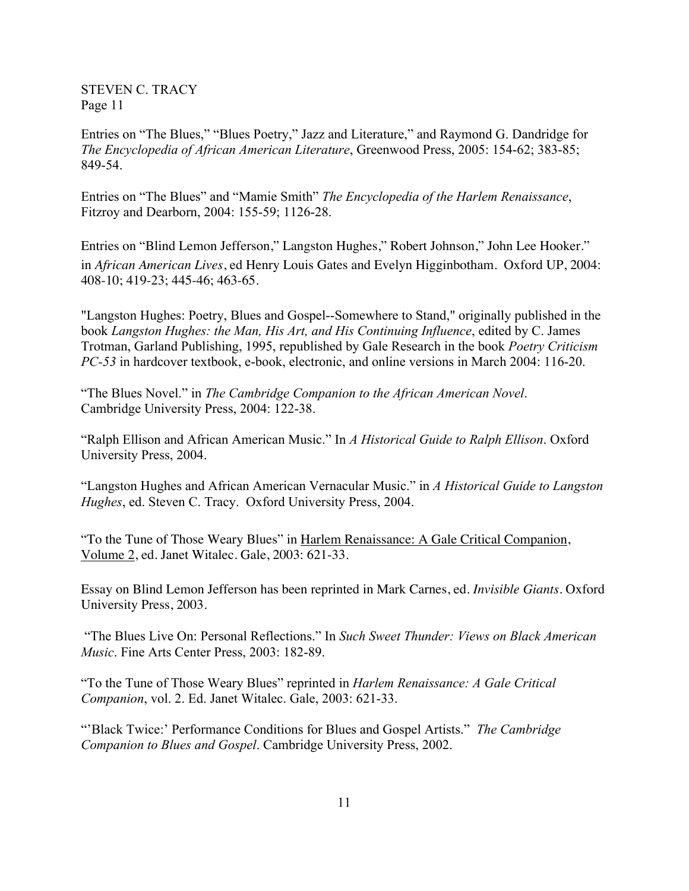Entries on "The Blues," "Blues Poetry," Jazz and Literature," and Raymond G. Dandridge for *The Encyclopedia of African American Literature*, Greenwood Press, 2005: 154-62; 383-85; 849-54.

Entries on "The Blues" and "Mamie Smith" *The Encyclopedia of the Harlem Renaissance*, Fitzroy and Dearborn, 2004: 155-59; 1126-28.

Entries on "Blind Lemon Jefferson," Langston Hughes," Robert Johnson," John Lee Hooker." in *African American Lives*, ed Henry Louis Gates and Evelyn Higginbotham. Oxford UP, 2004: 408-10; 419-23; 445-46; 463-65.

"Langston Hughes: Poetry, Blues and Gospel--Somewhere to Stand," originally published in the book *Langston Hughes: the Man, His Art, and His Continuing Influence*, edited by C. James Trotman, Garland Publishing, 1995, republished by Gale Research in the book *Poetry Criticism PC-53* in hardcover textbook, e-book, electronic, and online versions in March 2004: 116-20.

"The Blues Novel." in *The Cambridge Companion to the African American Novel*. Cambridge University Press, 2004: 122-38.

"Ralph Ellison and African American Music." In *A Historical Guide to Ralph Ellison*. Oxford University Press, 2004.

"Langston Hughes and African American Vernacular Music." in *A Historical Guide to Langston Hughes*, ed. Steven C. Tracy. Oxford University Press, 2004.

"To the Tune of Those Weary Blues" in Harlem Renaissance: A Gale Critical Companion, Volume 2, ed. Janet Witalec. Gale, 2003: 621-33.

Essay on Blind Lemon Jefferson has been reprinted in Mark Carnes, ed. *Invisible Giants*. Oxford University Press, 2003.

"The Blues Live On: Personal Reflections." In *Such Sweet Thunder: Views on Black American Music*. Fine Arts Center Press, 2003: 182-89.

"To the Tune of Those Weary Blues" reprinted in *Harlem Renaissance: A Gale Critical Companion*, vol. 2. Ed. Janet Witalec. Gale, 2003: 621-33.

"'Black Twice:' Performance Conditions for Blues and Gospel Artists." *The Cambridge Companion to Blues and Gospel*. Cambridge University Press, 2002.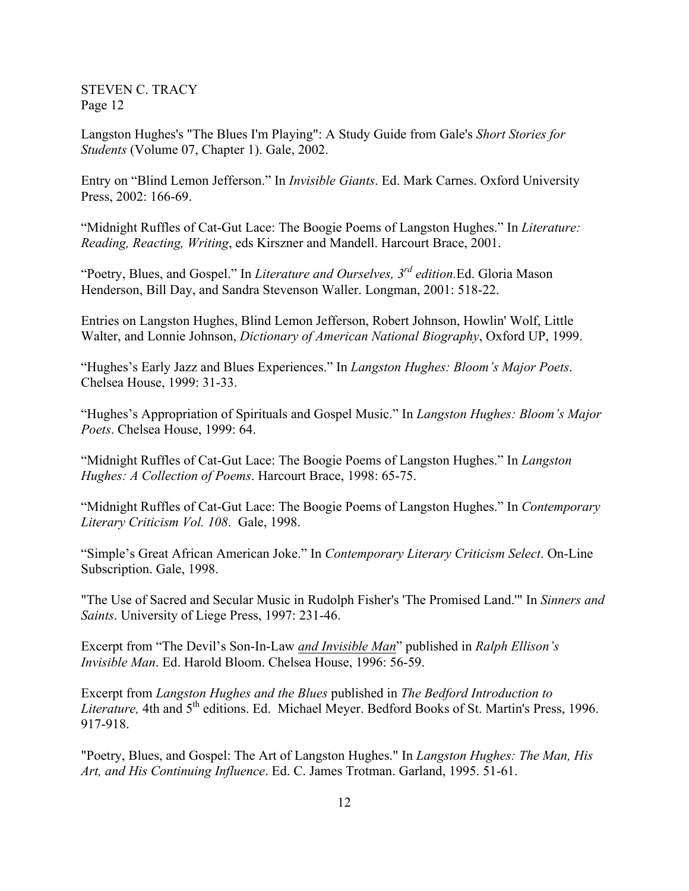Langston Hughes's "The Blues I'm Playing": A Study Guide from Gale's *Short Stories for Students* (Volume 07, Chapter 1). Gale, 2002.

Entry on "Blind Lemon Jefferson." In *Invisible Giants*. Ed. Mark Carnes. Oxford University Press, 2002: 166-69.

"Midnight Ruffles of Cat-Gut Lace: The Boogie Poems of Langston Hughes." In *Literature: Reading, Reacting, Writing*, eds Kirszner and Mandell. Harcourt Brace, 2001.

"Poetry, Blues, and Gospel." In *Literature and Ourselves, 3rd edition.*Ed. Gloria Mason Henderson, Bill Day, and Sandra Stevenson Waller. Longman, 2001: 518-22.

Entries on Langston Hughes, Blind Lemon Jefferson, Robert Johnson, Howlin' Wolf, Little Walter, and Lonnie Johnson, *Dictionary of American National Biography*, Oxford UP, 1999.

"Hughes's Early Jazz and Blues Experiences." In *Langston Hughes: Bloom's Major Poets*. Chelsea House, 1999: 31-33.

"Hughes's Appropriation of Spirituals and Gospel Music." In *Langston Hughes: Bloom's Major Poets*. Chelsea House, 1999: 64.

"Midnight Ruffles of Cat-Gut Lace: The Boogie Poems of Langston Hughes." In *Langston Hughes: A Collection of Poems*. Harcourt Brace, 1998: 65-75.

"Midnight Ruffles of Cat-Gut Lace: The Boogie Poems of Langston Hughes." In *Contemporary Literary Criticism Vol. 108*. Gale, 1998.

"Simple's Great African American Joke." In *Contemporary Literary Criticism Select*. On-Line Subscription. Gale, 1998.

"The Use of Sacred and Secular Music in Rudolph Fisher's 'The Promised Land.'" In *Sinners and Saints*. University of Liege Press, 1997: 231-46.

Excerpt from "The Devil's Son-In-Law *and Invisible Man*" published in *Ralph Ellison's Invisible Man*. Ed. Harold Bloom. Chelsea House, 1996: 56-59.

Excerpt from *Langston Hughes and the Blues* published in *The Bedford Introduction to*  Literature, 4th and 5<sup>th</sup> editions. Ed. Michael Meyer. Bedford Books of St. Martin's Press, 1996. 917-918.

"Poetry, Blues, and Gospel: The Art of Langston Hughes." In *Langston Hughes: The Man, His Art, and His Continuing Influence*. Ed. C. James Trotman. Garland, 1995. 51-61.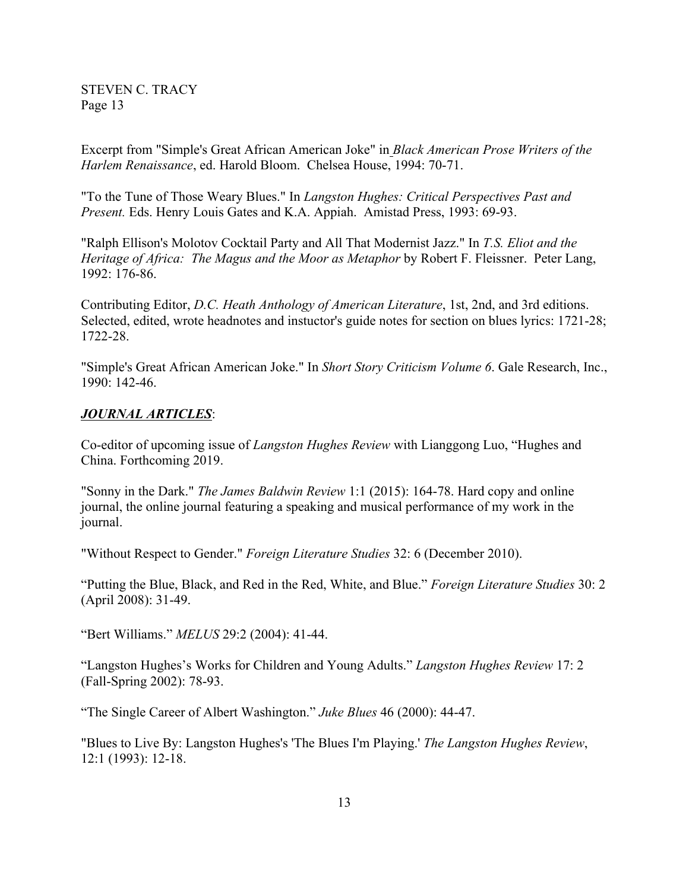Excerpt from "Simple's Great African American Joke" in *Black American Prose Writers of the Harlem Renaissance*, ed. Harold Bloom. Chelsea House, 1994: 70-71.

"To the Tune of Those Weary Blues." In *Langston Hughes: Critical Perspectives Past and Present.* Eds. Henry Louis Gates and K.A. Appiah. Amistad Press, 1993: 69-93.

"Ralph Ellison's Molotov Cocktail Party and All That Modernist Jazz." In *T.S. Eliot and the Heritage of Africa: The Magus and the Moor as Metaphor* by Robert F. Fleissner. Peter Lang, 1992: 176-86.

Contributing Editor, *D.C. Heath Anthology of American Literature*, 1st, 2nd, and 3rd editions. Selected, edited, wrote headnotes and instuctor's guide notes for section on blues lyrics: 1721-28; 1722-28.

"Simple's Great African American Joke." In *Short Story Criticism Volume 6*. Gale Research, Inc., 1990: 142-46.

#### *JOURNAL ARTICLES*:

Co-editor of upcoming issue of *Langston Hughes Review* with Lianggong Luo, "Hughes and China. Forthcoming 2019.

"Sonny in the Dark." *The James Baldwin Review* 1:1 (2015): 164-78. Hard copy and online journal, the online journal featuring a speaking and musical performance of my work in the journal.

"Without Respect to Gender." *Foreign Literature Studies* 32: 6 (December 2010).

"Putting the Blue, Black, and Red in the Red, White, and Blue." *Foreign Literature Studies* 30: 2 (April 2008): 31-49.

"Bert Williams." *MELUS* 29:2 (2004): 41-44.

"Langston Hughes's Works for Children and Young Adults." *Langston Hughes Review* 17: 2 (Fall-Spring 2002): 78-93.

"The Single Career of Albert Washington." *Juke Blues* 46 (2000): 44-47.

"Blues to Live By: Langston Hughes's 'The Blues I'm Playing.' *The Langston Hughes Review*, 12:1 (1993): 12-18.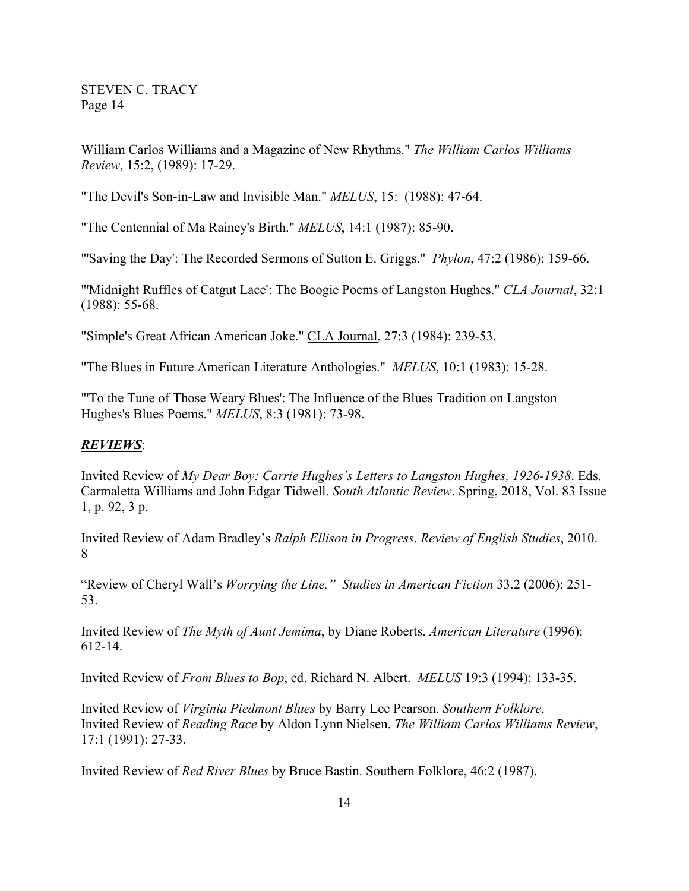William Carlos Williams and a Magazine of New Rhythms." *The William Carlos Williams Review*, 15:2, (1989): 17-29.

"The Devil's Son-in-Law and Invisible Man." *MELUS*, 15: (1988): 47-64.

"The Centennial of Ma Rainey's Birth." *MELUS*, 14:1 (1987): 85-90.

"'Saving the Day': The Recorded Sermons of Sutton E. Griggs." *Phylon*, 47:2 (1986): 159-66.

"'Midnight Ruffles of Catgut Lace': The Boogie Poems of Langston Hughes." *CLA Journal*, 32:1 (1988): 55-68.

"Simple's Great African American Joke." CLA Journal, 27:3 (1984): 239-53.

"The Blues in Future American Literature Anthologies." *MELUS*, 10:1 (1983): 15-28.

"'To the Tune of Those Weary Blues': The Influence of the Blues Tradition on Langston Hughes's Blues Poems." *MELUS*, 8:3 (1981): 73-98.

### *REVIEWS*:

Invited Review of *My Dear Boy: Carrie Hughes's Letters to Langston Hughes, 1926-1938*. Eds. Carmaletta Williams and John Edgar Tidwell. *South Atlantic Review*. Spring, 2018, Vol. 83 Issue 1, p. 92, 3 p.

Invited Review of Adam Bradley's *Ralph Ellison in Progress*. *Review of English Studies*, 2010. 8

"Review of Cheryl Wall's *Worrying the Line." Studies in American Fiction* 33.2 (2006): 251- 53.

Invited Review of *The Myth of Aunt Jemima*, by Diane Roberts. *American Literature* (1996): 612-14.

Invited Review of *From Blues to Bop*, ed. Richard N. Albert. *MELUS* 19:3 (1994): 133-35.

Invited Review of *Virginia Piedmont Blues* by Barry Lee Pearson. *Southern Folklore*. Invited Review of *Reading Race* by Aldon Lynn Nielsen. *The William Carlos Williams Review*, 17:1 (1991): 27-33.

Invited Review of *Red River Blues* by Bruce Bastin. Southern Folklore, 46:2 (1987).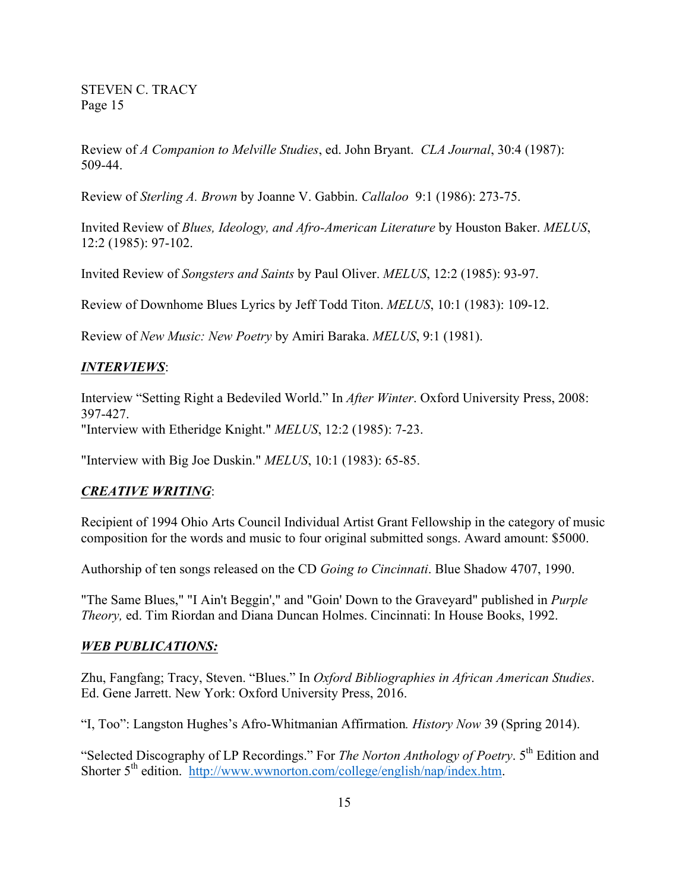Review of *A Companion to Melville Studies*, ed. John Bryant. *CLA Journal*, 30:4 (1987): 509-44.

Review of *Sterling A. Brown* by Joanne V. Gabbin. *Callaloo* 9:1 (1986): 273-75.

Invited Review of *Blues, Ideology, and Afro-American Literature* by Houston Baker. *MELUS*, 12:2 (1985): 97-102.

Invited Review of *Songsters and Saints* by Paul Oliver. *MELUS*, 12:2 (1985): 93-97.

Review of Downhome Blues Lyrics by Jeff Todd Titon. *MELUS*, 10:1 (1983): 109-12.

Review of *New Music: New Poetry* by Amiri Baraka. *MELUS*, 9:1 (1981).

### *INTERVIEWS*:

Interview "Setting Right a Bedeviled World." In *After Winter*. Oxford University Press, 2008: 397-427. "Interview with Etheridge Knight." *MELUS*, 12:2 (1985): 7-23.

"Interview with Big Joe Duskin." *MELUS*, 10:1 (1983): 65-85.

### *CREATIVE WRITING*:

Recipient of 1994 Ohio Arts Council Individual Artist Grant Fellowship in the category of music composition for the words and music to four original submitted songs. Award amount: \$5000.

Authorship of ten songs released on the CD *Going to Cincinnati*. Blue Shadow 4707, 1990.

"The Same Blues," "I Ain't Beggin'," and "Goin' Down to the Graveyard" published in *Purple Theory,* ed. Tim Riordan and Diana Duncan Holmes. Cincinnati: In House Books, 1992.

### *WEB PUBLICATIONS:*

Zhu, Fangfang; Tracy, Steven. "Blues." In *Oxford Bibliographies in African American Studies*. Ed. Gene Jarrett. New York: Oxford University Press, 2016.

"I, Too": Langston Hughes's Afro-Whitmanian Affirmation*. History Now* 39 (Spring 2014).

"Selected Discography of LP Recordings." For *The Norton Anthology of Poetry*. 5th Edition and Shorter 5<sup>th</sup> edition. http://www.wwnorton.com/college/english/nap/index.htm.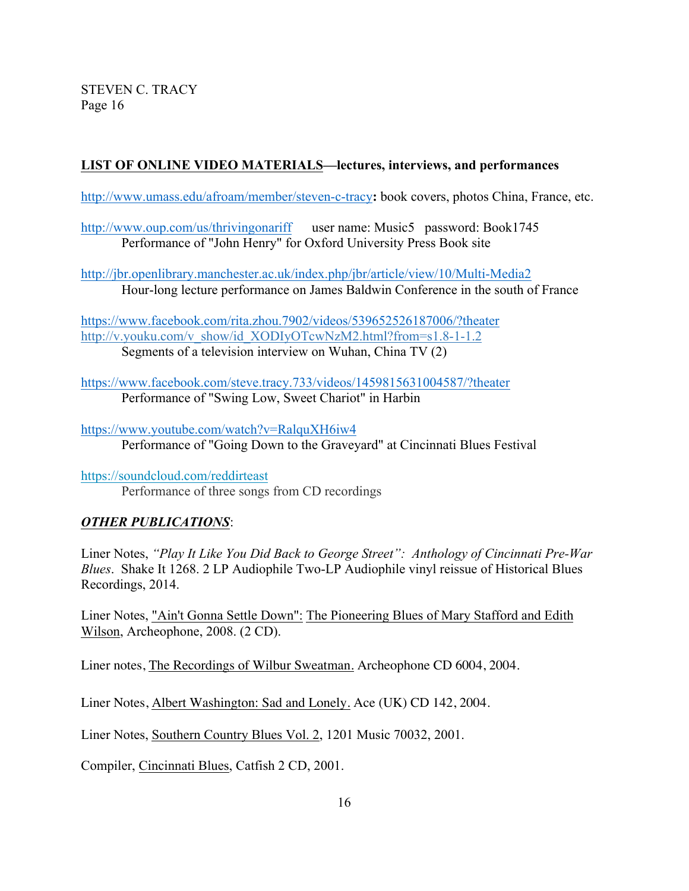# **LIST OF ONLINE VIDEO MATERIALS—lectures, interviews, and performances**

http://www.umass.edu/afroam/member/steven-c-tracy**:** book covers, photos China, France, etc.

http://www.oup.com/us/thrivingonariff user name: Music5 password: Book1745 Performance of "John Henry" for Oxford University Press Book site

http://jbr.openlibrary.manchester.ac.uk/index.php/jbr/article/view/10/Multi-Media2 Hour-long lecture performance on James Baldwin Conference in the south of France

https://www.facebook.com/rita.zhou.7902/videos/539652526187006/?theater http://v.youku.com/v\_show/id\_XODIyOTcwNzM2.html?from=s1.8-1-1.2 Segments of a television interview on Wuhan, China TV (2)

https://www.facebook.com/steve.tracy.733/videos/1459815631004587/?theater Performance of "Swing Low, Sweet Chariot" in Harbin

https://www.youtube.com/watch?v=RalquXH6iw4 Performance of "Going Down to the Graveyard" at Cincinnati Blues Festival

https://soundcloud.com/reddirteast Performance of three songs from CD recordings

## *OTHER PUBLICATIONS*:

Liner Notes, *"Play It Like You Did Back to George Street": Anthology of Cincinnati Pre-War Blues*. Shake It 1268. 2 LP Audiophile Two-LP Audiophile vinyl reissue of Historical Blues Recordings, 2014.

Liner Notes, "Ain't Gonna Settle Down": The Pioneering Blues of Mary Stafford and Edith Wilson, Archeophone, 2008. (2 CD).

Liner notes, The Recordings of Wilbur Sweatman. Archeophone CD 6004, 2004.

Liner Notes, Albert Washington: Sad and Lonely. Ace (UK) CD 142, 2004.

Liner Notes, Southern Country Blues Vol. 2, 1201 Music 70032, 2001.

Compiler, Cincinnati Blues, Catfish 2 CD, 2001.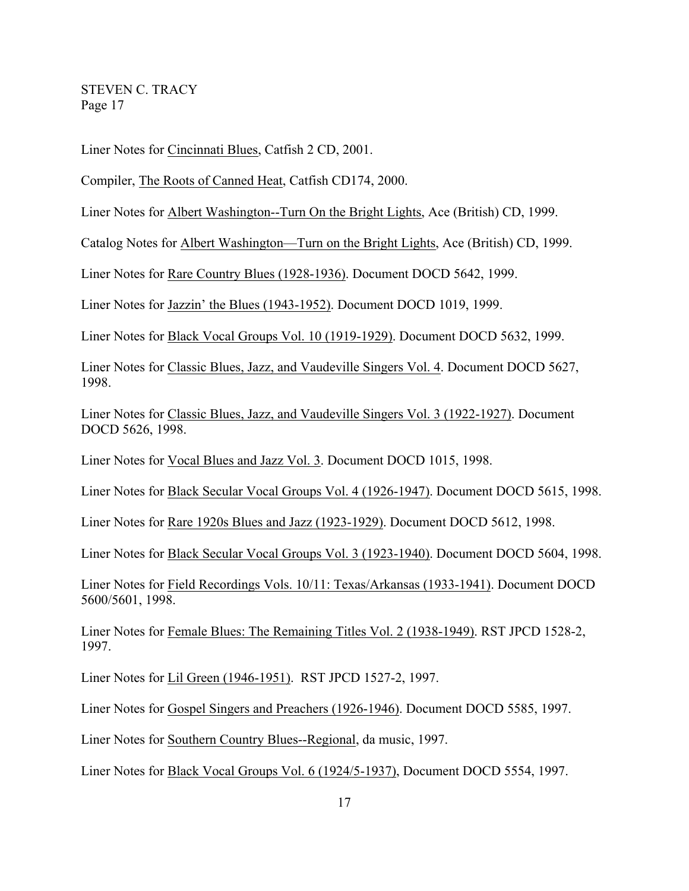Liner Notes for Cincinnati Blues, Catfish 2 CD, 2001.

Compiler, The Roots of Canned Heat, Catfish CD174, 2000.

Liner Notes for Albert Washington--Turn On the Bright Lights, Ace (British) CD, 1999.

Catalog Notes for Albert Washington—Turn on the Bright Lights, Ace (British) CD, 1999.

Liner Notes for Rare Country Blues (1928-1936). Document DOCD 5642, 1999.

Liner Notes for Jazzin' the Blues (1943-1952). Document DOCD 1019, 1999.

Liner Notes for Black Vocal Groups Vol. 10 (1919-1929). Document DOCD 5632, 1999.

Liner Notes for Classic Blues, Jazz, and Vaudeville Singers Vol. 4. Document DOCD 5627, 1998.

Liner Notes for Classic Blues, Jazz, and Vaudeville Singers Vol. 3 (1922-1927). Document DOCD 5626, 1998.

Liner Notes for Vocal Blues and Jazz Vol. 3. Document DOCD 1015, 1998.

Liner Notes for Black Secular Vocal Groups Vol. 4 (1926-1947). Document DOCD 5615, 1998.

Liner Notes for Rare 1920s Blues and Jazz (1923-1929). Document DOCD 5612, 1998.

Liner Notes for Black Secular Vocal Groups Vol. 3 (1923-1940). Document DOCD 5604, 1998.

Liner Notes for Field Recordings Vols. 10/11: Texas/Arkansas (1933-1941). Document DOCD 5600/5601, 1998.

Liner Notes for Female Blues: The Remaining Titles Vol. 2 (1938-1949). RST JPCD 1528-2, 1997.

Liner Notes for Lil Green (1946-1951). RST JPCD 1527-2, 1997.

Liner Notes for Gospel Singers and Preachers (1926-1946). Document DOCD 5585, 1997.

Liner Notes for Southern Country Blues--Regional, da music, 1997.

Liner Notes for Black Vocal Groups Vol. 6 (1924/5-1937), Document DOCD 5554, 1997.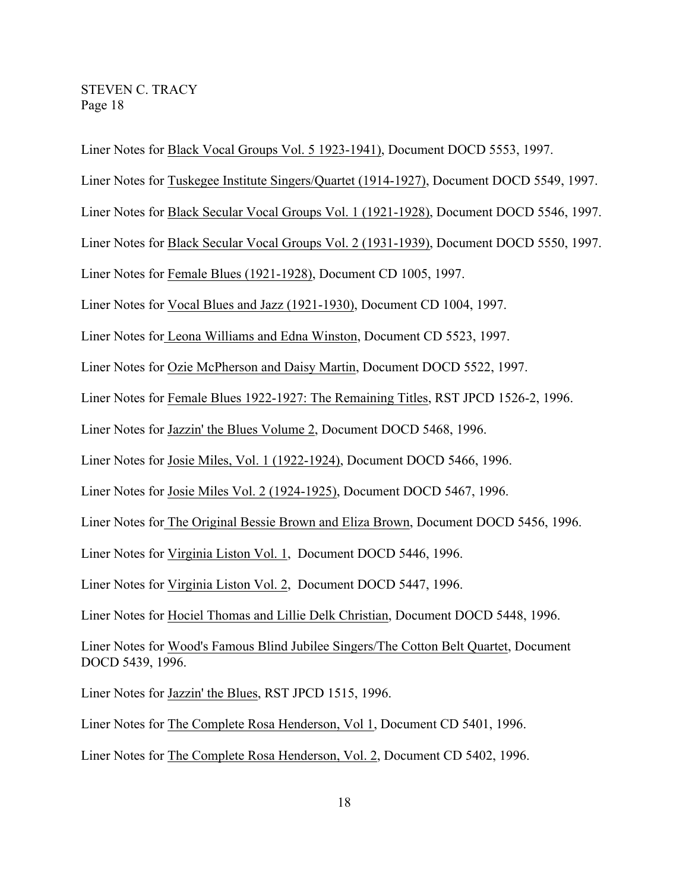Liner Notes for Black Vocal Groups Vol. 5 1923-1941), Document DOCD 5553, 1997. Liner Notes for Tuskegee Institute Singers/Quartet (1914-1927), Document DOCD 5549, 1997. Liner Notes for Black Secular Vocal Groups Vol. 1 (1921-1928), Document DOCD 5546, 1997. Liner Notes for Black Secular Vocal Groups Vol. 2 (1931-1939), Document DOCD 5550, 1997. Liner Notes for Female Blues (1921-1928), Document CD 1005, 1997. Liner Notes for Vocal Blues and Jazz (1921-1930), Document CD 1004, 1997. Liner Notes for Leona Williams and Edna Winston, Document CD 5523, 1997. Liner Notes for Ozie McPherson and Daisy Martin, Document DOCD 5522, 1997. Liner Notes for Female Blues 1922-1927: The Remaining Titles, RST JPCD 1526-2, 1996. Liner Notes for Jazzin' the Blues Volume 2, Document DOCD 5468, 1996. Liner Notes for Josie Miles, Vol. 1 (1922-1924), Document DOCD 5466, 1996. Liner Notes for Josie Miles Vol. 2 (1924-1925), Document DOCD 5467, 1996. Liner Notes for The Original Bessie Brown and Eliza Brown, Document DOCD 5456, 1996. Liner Notes for Virginia Liston Vol. 1, Document DOCD 5446, 1996. Liner Notes for Virginia Liston Vol. 2, Document DOCD 5447, 1996. Liner Notes for Hociel Thomas and Lillie Delk Christian, Document DOCD 5448, 1996. Liner Notes for Wood's Famous Blind Jubilee Singers/The Cotton Belt Quartet, Document DOCD 5439, 1996. Liner Notes for Jazzin' the Blues, RST JPCD 1515, 1996. Liner Notes for The Complete Rosa Henderson, Vol 1, Document CD 5401, 1996. Liner Notes for The Complete Rosa Henderson, Vol. 2, Document CD 5402, 1996.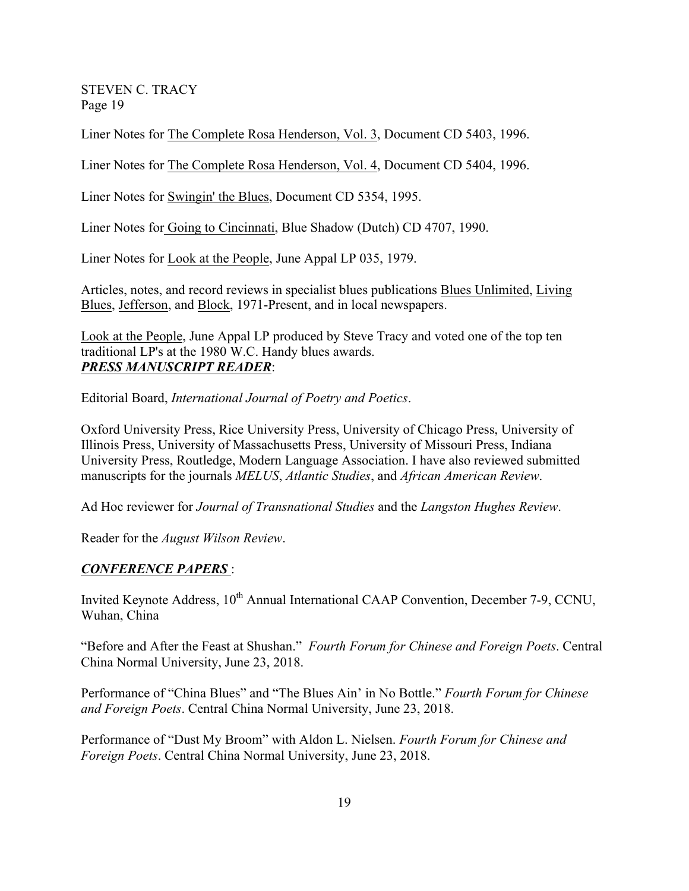Liner Notes for The Complete Rosa Henderson, Vol. 3, Document CD 5403, 1996.

Liner Notes for The Complete Rosa Henderson, Vol. 4, Document CD 5404, 1996.

Liner Notes for Swingin' the Blues, Document CD 5354, 1995.

Liner Notes for Going to Cincinnati, Blue Shadow (Dutch) CD 4707, 1990.

Liner Notes for Look at the People, June Appal LP 035, 1979.

Articles, notes, and record reviews in specialist blues publications Blues Unlimited, Living Blues, Jefferson, and Block, 1971-Present, and in local newspapers.

Look at the People, June Appal LP produced by Steve Tracy and voted one of the top ten traditional LP's at the 1980 W.C. Handy blues awards. *PRESS MANUSCRIPT READER*:

Editorial Board, *International Journal of Poetry and Poetics*.

Oxford University Press, Rice University Press, University of Chicago Press, University of Illinois Press, University of Massachusetts Press, University of Missouri Press, Indiana University Press, Routledge, Modern Language Association. I have also reviewed submitted manuscripts for the journals *MELUS*, *Atlantic Studies*, and *African American Review*.

Ad Hoc reviewer for *Journal of Transnational Studies* and the *Langston Hughes Review*.

Reader for the *August Wilson Review*.

### *CONFERENCE PAPERS* :

Invited Keynote Address, 10<sup>th</sup> Annual International CAAP Convention, December 7-9, CCNU, Wuhan, China

"Before and After the Feast at Shushan." *Fourth Forum for Chinese and Foreign Poets*. Central China Normal University, June 23, 2018.

Performance of "China Blues" and "The Blues Ain' in No Bottle." *Fourth Forum for Chinese and Foreign Poets*. Central China Normal University, June 23, 2018.

Performance of "Dust My Broom" with Aldon L. Nielsen. *Fourth Forum for Chinese and Foreign Poets*. Central China Normal University, June 23, 2018.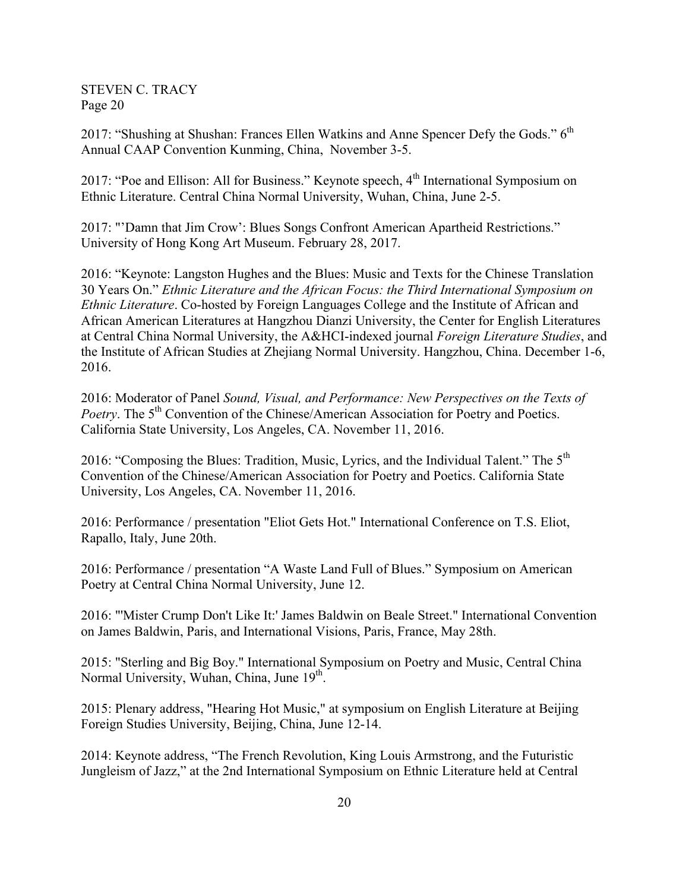2017: "Shushing at Shushan: Frances Ellen Watkins and Anne Spencer Defy the Gods."  $6<sup>th</sup>$ Annual CAAP Convention Kunming, China, November 3-5.

2017: "Poe and Ellison: All for Business." Keynote speech,  $4<sup>th</sup>$  International Symposium on Ethnic Literature. Central China Normal University, Wuhan, China, June 2-5.

2017: "'Damn that Jim Crow': Blues Songs Confront American Apartheid Restrictions." University of Hong Kong Art Museum. February 28, 2017.

2016: "Keynote: Langston Hughes and the Blues: Music and Texts for the Chinese Translation 30 Years On." *Ethnic Literature and the African Focus: the Third International Symposium on Ethnic Literature*. Co-hosted by Foreign Languages College and the Institute of African and African American Literatures at Hangzhou Dianzi University, the Center for English Literatures at Central China Normal University, the A&HCI-indexed journal *Foreign Literature Studies*, and the Institute of African Studies at Zhejiang Normal University. Hangzhou, China. December 1-6, 2016.

2016: Moderator of Panel *Sound, Visual, and Performance: New Perspectives on the Texts of Poetry*. The 5<sup>th</sup> Convention of the Chinese/American Association for Poetry and Poetics. California State University, Los Angeles, CA. November 11, 2016.

2016: "Composing the Blues: Tradition, Music, Lyrics, and the Individual Talent." The 5<sup>th</sup> Convention of the Chinese/American Association for Poetry and Poetics. California State University, Los Angeles, CA. November 11, 2016.

2016: Performance / presentation "Eliot Gets Hot." International Conference on T.S. Eliot, Rapallo, Italy, June 20th.

2016: Performance / presentation "A Waste Land Full of Blues." Symposium on American Poetry at Central China Normal University, June 12.

2016: "'Mister Crump Don't Like It:' James Baldwin on Beale Street." International Convention on James Baldwin, Paris, and International Visions, Paris, France, May 28th.

2015: "Sterling and Big Boy." International Symposium on Poetry and Music, Central China Normal University, Wuhan, China, June 19<sup>th</sup>.

2015: Plenary address, "Hearing Hot Music," at symposium on English Literature at Beijing Foreign Studies University, Beijing, China, June 12-14.

2014: Keynote address, "The French Revolution, King Louis Armstrong, and the Futuristic Jungleism of Jazz," at the 2nd International Symposium on Ethnic Literature held at Central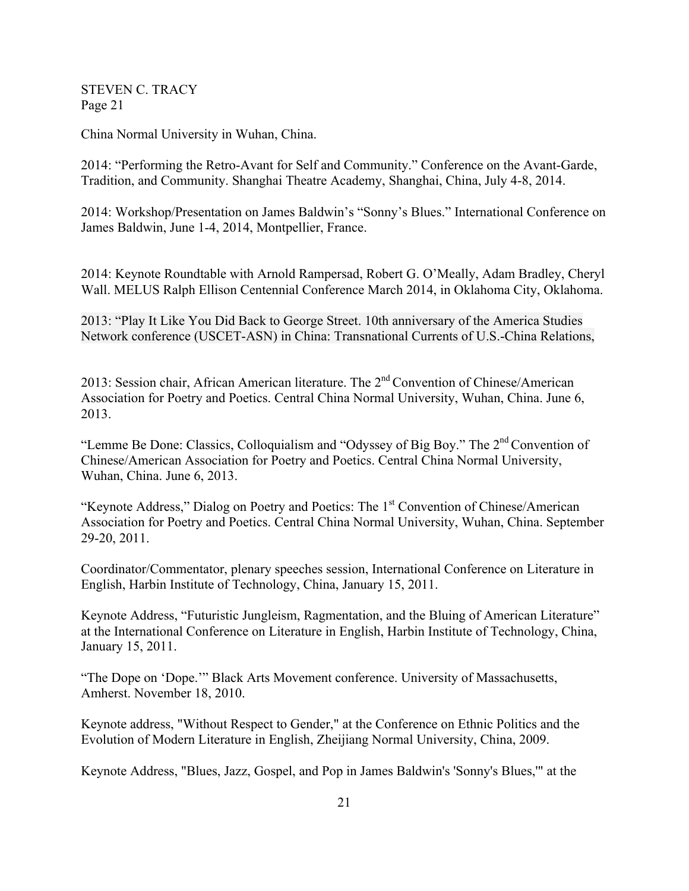China Normal University in Wuhan, China.

2014: "Performing the Retro-Avant for Self and Community." Conference on the Avant-Garde, Tradition, and Community. Shanghai Theatre Academy, Shanghai, China, July 4-8, 2014.

2014: Workshop/Presentation on James Baldwin's "Sonny's Blues." International Conference on James Baldwin, June 1-4, 2014, Montpellier, France.

2014: Keynote Roundtable with Arnold Rampersad, Robert G. O'Meally, Adam Bradley, Cheryl Wall. MELUS Ralph Ellison Centennial Conference March 2014, in Oklahoma City, Oklahoma.

2013: "Play It Like You Did Back to George Street. 10th anniversary of the America Studies Network conference (USCET-ASN) in China: Transnational Currents of U.S.-China Relations,

2013: Session chair, African American literature. The 2<sup>nd</sup> Convention of Chinese/American Association for Poetry and Poetics. Central China Normal University, Wuhan, China. June 6, 2013.

"Lemme Be Done: Classics, Colloquialism and "Odyssey of Big Boy." The 2<sup>nd</sup> Convention of Chinese/American Association for Poetry and Poetics. Central China Normal University, Wuhan, China. June 6, 2013.

"Keynote Address," Dialog on Poetry and Poetics: The 1<sup>st</sup> Convention of Chinese/American Association for Poetry and Poetics. Central China Normal University, Wuhan, China. September 29-20, 2011.

Coordinator/Commentator, plenary speeches session, International Conference on Literature in English, Harbin Institute of Technology, China, January 15, 2011.

Keynote Address, "Futuristic Jungleism, Ragmentation, and the Bluing of American Literature" at the International Conference on Literature in English, Harbin Institute of Technology, China, January 15, 2011.

"The Dope on 'Dope.'" Black Arts Movement conference. University of Massachusetts, Amherst. November 18, 2010.

Keynote address, "Without Respect to Gender," at the Conference on Ethnic Politics and the Evolution of Modern Literature in English, Zheijiang Normal University, China, 2009.

Keynote Address, "Blues, Jazz, Gospel, and Pop in James Baldwin's 'Sonny's Blues,'" at the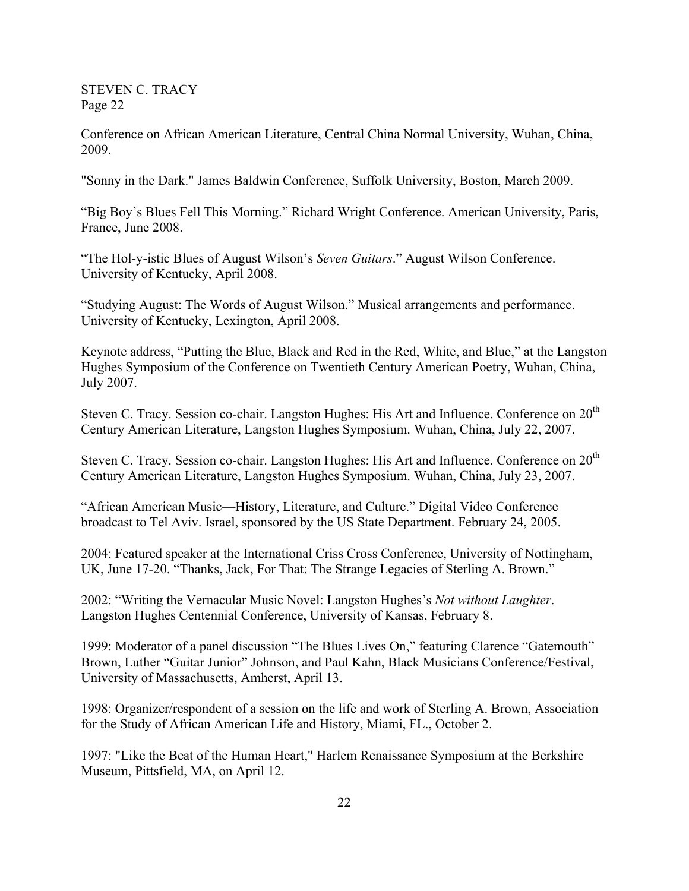Conference on African American Literature, Central China Normal University, Wuhan, China, 2009.

"Sonny in the Dark." James Baldwin Conference, Suffolk University, Boston, March 2009.

"Big Boy's Blues Fell This Morning." Richard Wright Conference. American University, Paris, France, June 2008.

"The Hol-y-istic Blues of August Wilson's *Seven Guitars*." August Wilson Conference. University of Kentucky, April 2008.

"Studying August: The Words of August Wilson." Musical arrangements and performance. University of Kentucky, Lexington, April 2008.

Keynote address, "Putting the Blue, Black and Red in the Red, White, and Blue," at the Langston Hughes Symposium of the Conference on Twentieth Century American Poetry, Wuhan, China, July 2007.

Steven C. Tracy. Session co-chair. Langston Hughes: His Art and Influence. Conference on  $20<sup>th</sup>$ Century American Literature, Langston Hughes Symposium. Wuhan, China, July 22, 2007.

Steven C. Tracy. Session co-chair. Langston Hughes: His Art and Influence. Conference on 20<sup>th</sup> Century American Literature, Langston Hughes Symposium. Wuhan, China, July 23, 2007.

"African American Music—History, Literature, and Culture." Digital Video Conference broadcast to Tel Aviv. Israel, sponsored by the US State Department. February 24, 2005.

2004: Featured speaker at the International Criss Cross Conference, University of Nottingham, UK, June 17-20. "Thanks, Jack, For That: The Strange Legacies of Sterling A. Brown."

2002: "Writing the Vernacular Music Novel: Langston Hughes's *Not without Laughter*. Langston Hughes Centennial Conference, University of Kansas, February 8.

1999: Moderator of a panel discussion "The Blues Lives On," featuring Clarence "Gatemouth" Brown, Luther "Guitar Junior" Johnson, and Paul Kahn, Black Musicians Conference/Festival, University of Massachusetts, Amherst, April 13.

1998: Organizer/respondent of a session on the life and work of Sterling A. Brown, Association for the Study of African American Life and History, Miami, FL., October 2.

1997: "Like the Beat of the Human Heart," Harlem Renaissance Symposium at the Berkshire Museum, Pittsfield, MA, on April 12.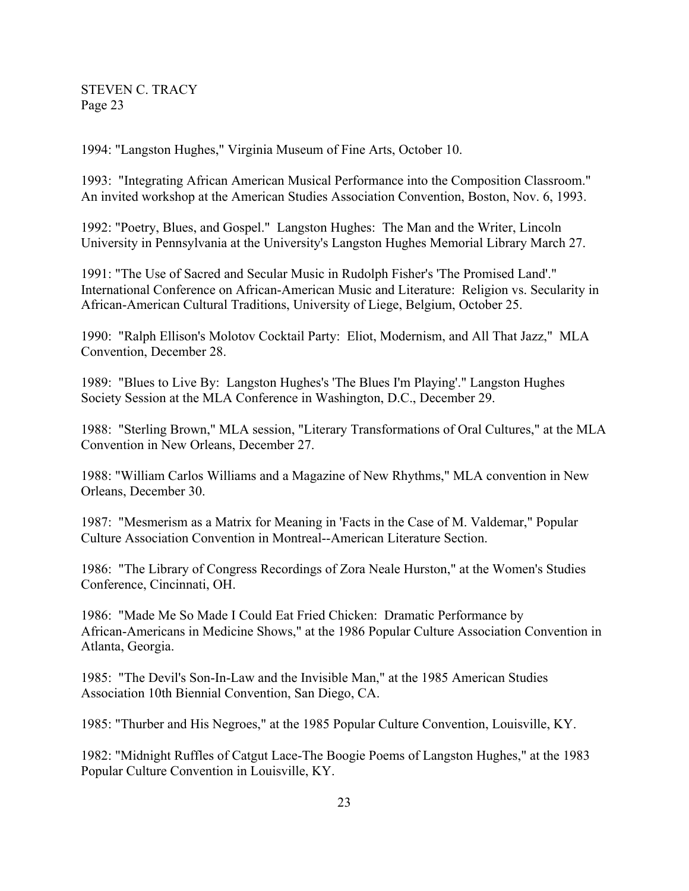1994: "Langston Hughes," Virginia Museum of Fine Arts, October 10.

1993: "Integrating African American Musical Performance into the Composition Classroom." An invited workshop at the American Studies Association Convention, Boston, Nov. 6, 1993.

1992: "Poetry, Blues, and Gospel." Langston Hughes: The Man and the Writer, Lincoln University in Pennsylvania at the University's Langston Hughes Memorial Library March 27.

1991: "The Use of Sacred and Secular Music in Rudolph Fisher's 'The Promised Land'." International Conference on African-American Music and Literature: Religion vs. Secularity in African-American Cultural Traditions, University of Liege, Belgium, October 25.

1990: "Ralph Ellison's Molotov Cocktail Party: Eliot, Modernism, and All That Jazz," MLA Convention, December 28.

1989: "Blues to Live By: Langston Hughes's 'The Blues I'm Playing'." Langston Hughes Society Session at the MLA Conference in Washington, D.C., December 29.

1988: "Sterling Brown," MLA session, "Literary Transformations of Oral Cultures," at the MLA Convention in New Orleans, December 27.

1988: "William Carlos Williams and a Magazine of New Rhythms," MLA convention in New Orleans, December 30.

1987: "Mesmerism as a Matrix for Meaning in 'Facts in the Case of M. Valdemar," Popular Culture Association Convention in Montreal--American Literature Section.

1986: "The Library of Congress Recordings of Zora Neale Hurston," at the Women's Studies Conference, Cincinnati, OH.

1986: "Made Me So Made I Could Eat Fried Chicken: Dramatic Performance by African-Americans in Medicine Shows," at the 1986 Popular Culture Association Convention in Atlanta, Georgia.

1985: "The Devil's Son-In-Law and the Invisible Man," at the 1985 American Studies Association 10th Biennial Convention, San Diego, CA.

1985: "Thurber and His Negroes," at the 1985 Popular Culture Convention, Louisville, KY.

1982: "Midnight Ruffles of Catgut Lace-The Boogie Poems of Langston Hughes," at the 1983 Popular Culture Convention in Louisville, KY.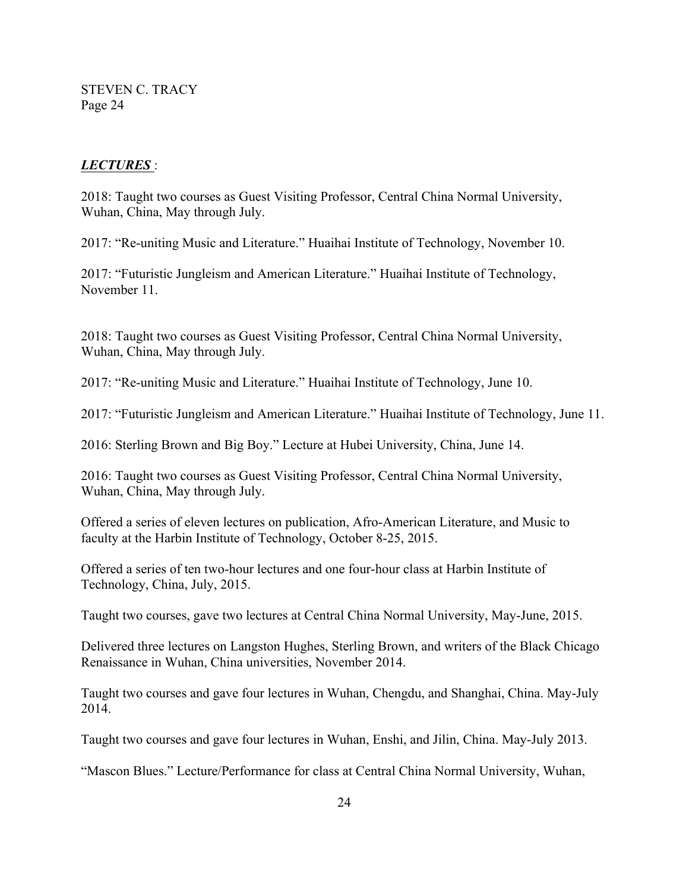#### *LECTURES* :

2018: Taught two courses as Guest Visiting Professor, Central China Normal University, Wuhan, China, May through July.

2017: "Re-uniting Music and Literature." Huaihai Institute of Technology, November 10.

2017: "Futuristic Jungleism and American Literature." Huaihai Institute of Technology, November 11.

2018: Taught two courses as Guest Visiting Professor, Central China Normal University, Wuhan, China, May through July.

2017: "Re-uniting Music and Literature." Huaihai Institute of Technology, June 10.

2017: "Futuristic Jungleism and American Literature." Huaihai Institute of Technology, June 11.

2016: Sterling Brown and Big Boy." Lecture at Hubei University, China, June 14.

2016: Taught two courses as Guest Visiting Professor, Central China Normal University, Wuhan, China, May through July.

Offered a series of eleven lectures on publication, Afro-American Literature, and Music to faculty at the Harbin Institute of Technology, October 8-25, 2015.

Offered a series of ten two-hour lectures and one four-hour class at Harbin Institute of Technology, China, July, 2015.

Taught two courses, gave two lectures at Central China Normal University, May-June, 2015.

Delivered three lectures on Langston Hughes, Sterling Brown, and writers of the Black Chicago Renaissance in Wuhan, China universities, November 2014.

Taught two courses and gave four lectures in Wuhan, Chengdu, and Shanghai, China. May-July 2014.

Taught two courses and gave four lectures in Wuhan, Enshi, and Jilin, China. May-July 2013.

"Mascon Blues." Lecture/Performance for class at Central China Normal University, Wuhan,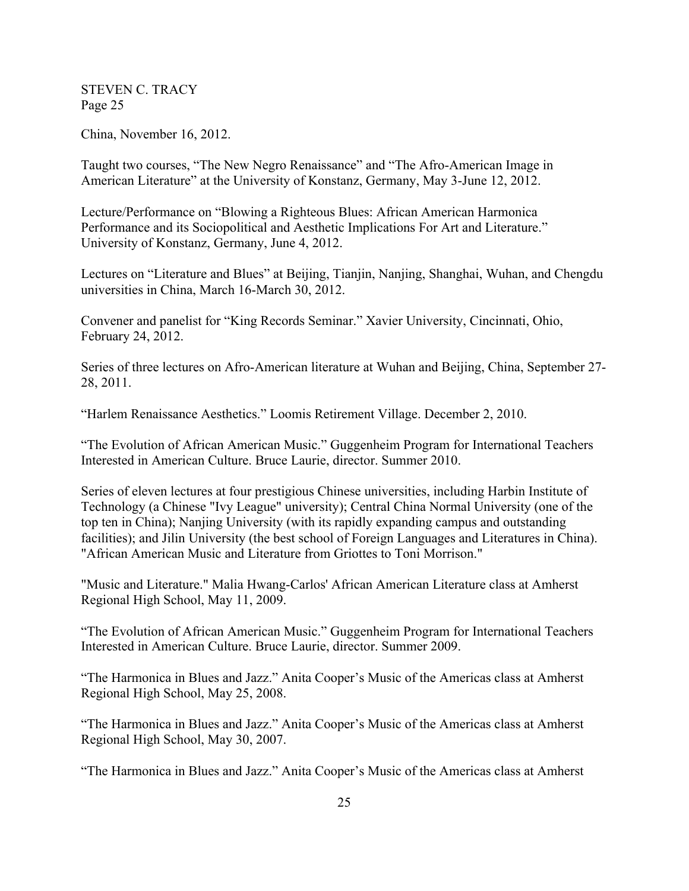China, November 16, 2012.

Taught two courses, "The New Negro Renaissance" and "The Afro-American Image in American Literature" at the University of Konstanz, Germany, May 3-June 12, 2012.

Lecture/Performance on "Blowing a Righteous Blues: African American Harmonica Performance and its Sociopolitical and Aesthetic Implications For Art and Literature." University of Konstanz, Germany, June 4, 2012.

Lectures on "Literature and Blues" at Beijing, Tianjin, Nanjing, Shanghai, Wuhan, and Chengdu universities in China, March 16-March 30, 2012.

Convener and panelist for "King Records Seminar." Xavier University, Cincinnati, Ohio, February 24, 2012.

Series of three lectures on Afro-American literature at Wuhan and Beijing, China, September 27- 28, 2011.

"Harlem Renaissance Aesthetics." Loomis Retirement Village. December 2, 2010.

"The Evolution of African American Music." Guggenheim Program for International Teachers Interested in American Culture. Bruce Laurie, director. Summer 2010.

Series of eleven lectures at four prestigious Chinese universities, including Harbin Institute of Technology (a Chinese "Ivy League" university); Central China Normal University (one of the top ten in China); Nanjing University (with its rapidly expanding campus and outstanding facilities); and Jilin University (the best school of Foreign Languages and Literatures in China). "African American Music and Literature from Griottes to Toni Morrison."

"Music and Literature." Malia Hwang-Carlos' African American Literature class at Amherst Regional High School, May 11, 2009.

"The Evolution of African American Music." Guggenheim Program for International Teachers Interested in American Culture. Bruce Laurie, director. Summer 2009.

"The Harmonica in Blues and Jazz." Anita Cooper's Music of the Americas class at Amherst Regional High School, May 25, 2008.

"The Harmonica in Blues and Jazz." Anita Cooper's Music of the Americas class at Amherst Regional High School, May 30, 2007.

"The Harmonica in Blues and Jazz." Anita Cooper's Music of the Americas class at Amherst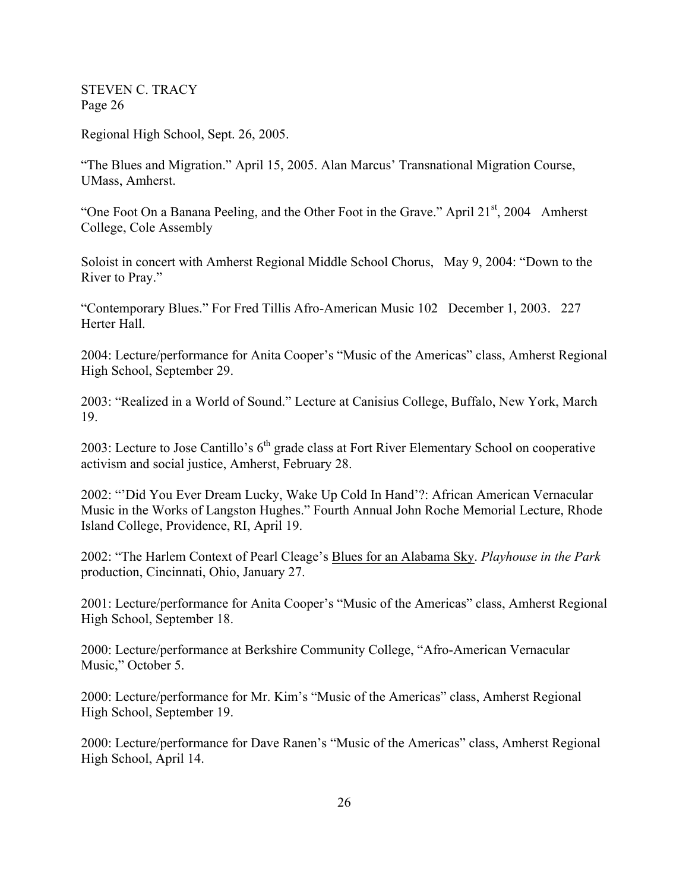Regional High School, Sept. 26, 2005.

"The Blues and Migration." April 15, 2005. Alan Marcus' Transnational Migration Course, UMass, Amherst.

"One Foot On a Banana Peeling, and the Other Foot in the Grave." April  $21<sup>st</sup>$ , 2004 Amherst College, Cole Assembly

Soloist in concert with Amherst Regional Middle School Chorus, May 9, 2004: "Down to the River to Pray."

"Contemporary Blues." For Fred Tillis Afro-American Music 102 December 1, 2003. 227 Herter Hall.

2004: Lecture/performance for Anita Cooper's "Music of the Americas" class, Amherst Regional High School, September 29.

2003: "Realized in a World of Sound." Lecture at Canisius College, Buffalo, New York, March 19.

2003: Lecture to Jose Cantillo's  $6<sup>th</sup>$  grade class at Fort River Elementary School on cooperative activism and social justice, Amherst, February 28.

2002: "'Did You Ever Dream Lucky, Wake Up Cold In Hand'?: African American Vernacular Music in the Works of Langston Hughes." Fourth Annual John Roche Memorial Lecture, Rhode Island College, Providence, RI, April 19.

2002: "The Harlem Context of Pearl Cleage's Blues for an Alabama Sky. *Playhouse in the Park* production, Cincinnati, Ohio, January 27.

2001: Lecture/performance for Anita Cooper's "Music of the Americas" class, Amherst Regional High School, September 18.

2000: Lecture/performance at Berkshire Community College, "Afro-American Vernacular Music," October 5.

2000: Lecture/performance for Mr. Kim's "Music of the Americas" class, Amherst Regional High School, September 19.

2000: Lecture/performance for Dave Ranen's "Music of the Americas" class, Amherst Regional High School, April 14.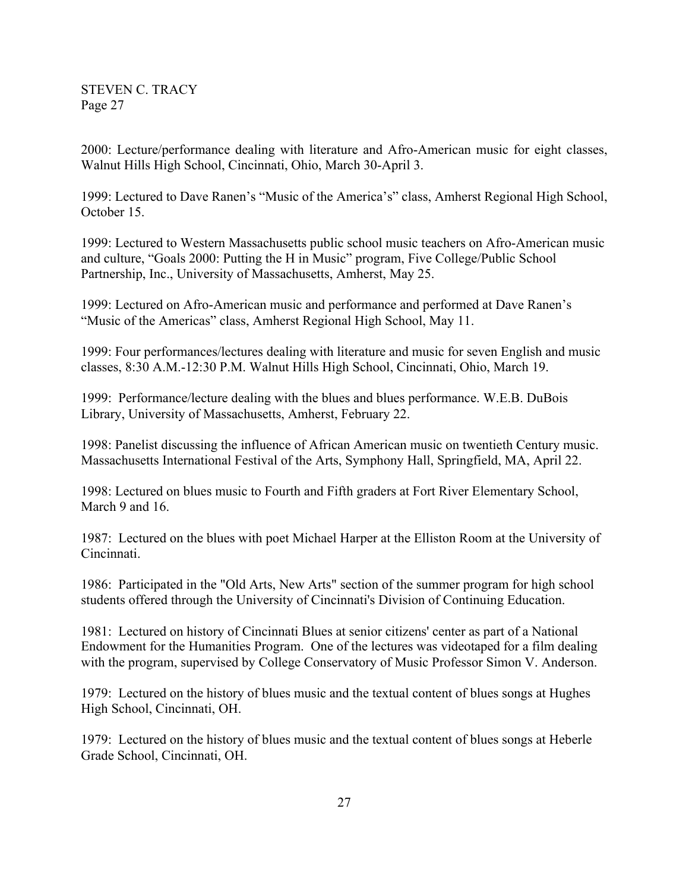2000: Lecture/performance dealing with literature and Afro-American music for eight classes, Walnut Hills High School, Cincinnati, Ohio, March 30-April 3.

1999: Lectured to Dave Ranen's "Music of the America's" class, Amherst Regional High School, October 15.

1999: Lectured to Western Massachusetts public school music teachers on Afro-American music and culture, "Goals 2000: Putting the H in Music" program, Five College/Public School Partnership, Inc., University of Massachusetts, Amherst, May 25.

1999: Lectured on Afro-American music and performance and performed at Dave Ranen's "Music of the Americas" class, Amherst Regional High School, May 11.

1999: Four performances/lectures dealing with literature and music for seven English and music classes, 8:30 A.M.-12:30 P.M. Walnut Hills High School, Cincinnati, Ohio, March 19.

1999: Performance/lecture dealing with the blues and blues performance. W.E.B. DuBois Library, University of Massachusetts, Amherst, February 22.

1998: Panelist discussing the influence of African American music on twentieth Century music. Massachusetts International Festival of the Arts, Symphony Hall, Springfield, MA, April 22.

1998: Lectured on blues music to Fourth and Fifth graders at Fort River Elementary School, March 9 and 16.

1987: Lectured on the blues with poet Michael Harper at the Elliston Room at the University of Cincinnati.

1986: Participated in the "Old Arts, New Arts" section of the summer program for high school students offered through the University of Cincinnati's Division of Continuing Education.

1981: Lectured on history of Cincinnati Blues at senior citizens' center as part of a National Endowment for the Humanities Program. One of the lectures was videotaped for a film dealing with the program, supervised by College Conservatory of Music Professor Simon V. Anderson.

1979: Lectured on the history of blues music and the textual content of blues songs at Hughes High School, Cincinnati, OH.

1979: Lectured on the history of blues music and the textual content of blues songs at Heberle Grade School, Cincinnati, OH.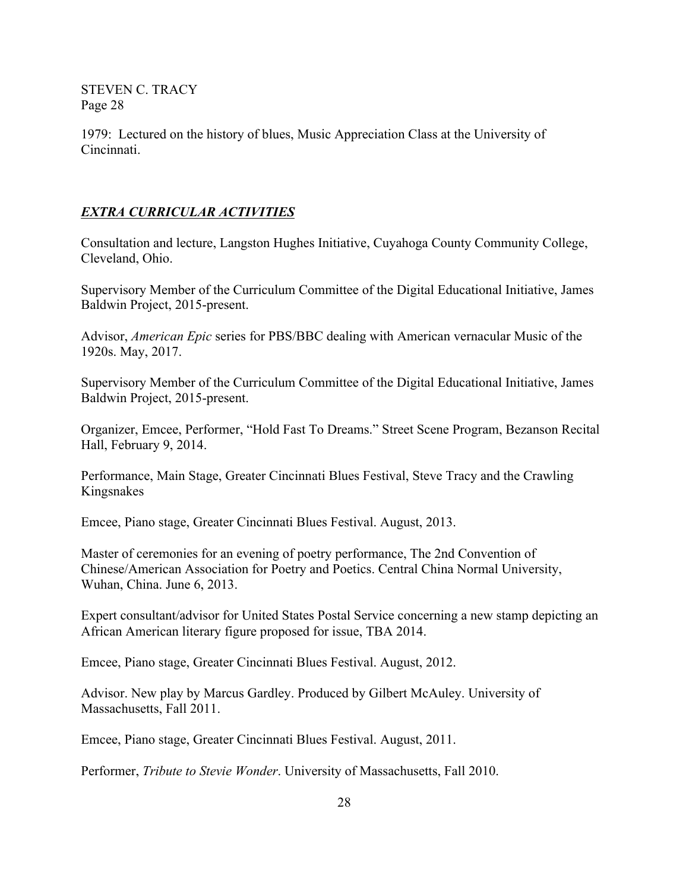1979: Lectured on the history of blues, Music Appreciation Class at the University of Cincinnati.

# *EXTRA CURRICULAR ACTIVITIES*

Consultation and lecture, Langston Hughes Initiative, Cuyahoga County Community College, Cleveland, Ohio.

Supervisory Member of the Curriculum Committee of the Digital Educational Initiative, James Baldwin Project, 2015-present.

Advisor, *American Epic* series for PBS/BBC dealing with American vernacular Music of the 1920s. May, 2017.

Supervisory Member of the Curriculum Committee of the Digital Educational Initiative, James Baldwin Project, 2015-present.

Organizer, Emcee, Performer, "Hold Fast To Dreams." Street Scene Program, Bezanson Recital Hall, February 9, 2014.

Performance, Main Stage, Greater Cincinnati Blues Festival, Steve Tracy and the Crawling Kingsnakes

Emcee, Piano stage, Greater Cincinnati Blues Festival. August, 2013.

Master of ceremonies for an evening of poetry performance, The 2nd Convention of Chinese/American Association for Poetry and Poetics. Central China Normal University, Wuhan, China. June 6, 2013.

Expert consultant/advisor for United States Postal Service concerning a new stamp depicting an African American literary figure proposed for issue, TBA 2014.

Emcee, Piano stage, Greater Cincinnati Blues Festival. August, 2012.

Advisor. New play by Marcus Gardley. Produced by Gilbert McAuley. University of Massachusetts, Fall 2011.

Emcee, Piano stage, Greater Cincinnati Blues Festival. August, 2011.

Performer, *Tribute to Stevie Wonder*. University of Massachusetts, Fall 2010.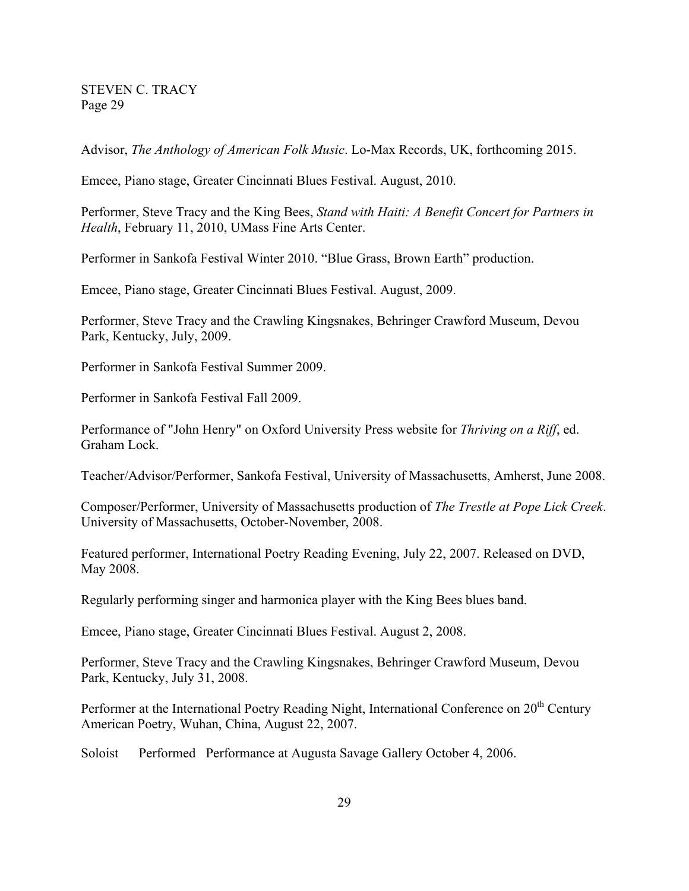Advisor, *The Anthology of American Folk Music*. Lo-Max Records, UK, forthcoming 2015.

Emcee, Piano stage, Greater Cincinnati Blues Festival. August, 2010.

Performer, Steve Tracy and the King Bees, *Stand with Haiti: A Benefit Concert for Partners in Health*, February 11, 2010, UMass Fine Arts Center.

Performer in Sankofa Festival Winter 2010. "Blue Grass, Brown Earth" production.

Emcee, Piano stage, Greater Cincinnati Blues Festival. August, 2009.

Performer, Steve Tracy and the Crawling Kingsnakes, Behringer Crawford Museum, Devou Park, Kentucky, July, 2009.

Performer in Sankofa Festival Summer 2009.

Performer in Sankofa Festival Fall 2009.

Performance of "John Henry" on Oxford University Press website for *Thriving on a Riff*, ed. Graham Lock.

Teacher/Advisor/Performer, Sankofa Festival, University of Massachusetts, Amherst, June 2008.

Composer/Performer, University of Massachusetts production of *The Trestle at Pope Lick Creek*. University of Massachusetts, October-November, 2008.

Featured performer, International Poetry Reading Evening, July 22, 2007. Released on DVD, May 2008.

Regularly performing singer and harmonica player with the King Bees blues band.

Emcee, Piano stage, Greater Cincinnati Blues Festival. August 2, 2008.

Performer, Steve Tracy and the Crawling Kingsnakes, Behringer Crawford Museum, Devou Park, Kentucky, July 31, 2008.

Performer at the International Poetry Reading Night, International Conference on 20<sup>th</sup> Century American Poetry, Wuhan, China, August 22, 2007.

Soloist Performed Performance at Augusta Savage Gallery October 4, 2006.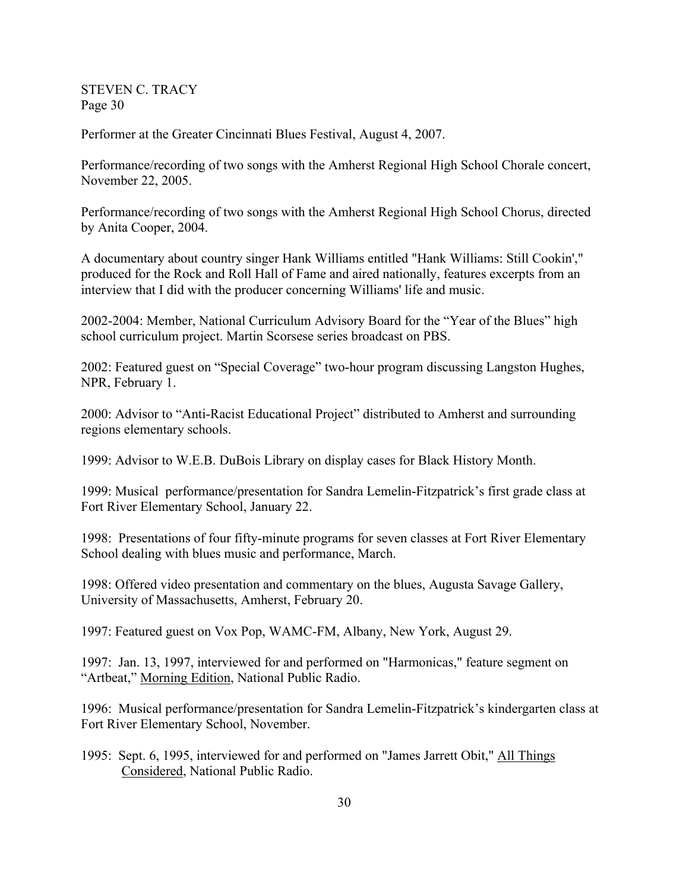Performer at the Greater Cincinnati Blues Festival, August 4, 2007.

Performance/recording of two songs with the Amherst Regional High School Chorale concert, November 22, 2005.

Performance/recording of two songs with the Amherst Regional High School Chorus, directed by Anita Cooper, 2004.

A documentary about country singer Hank Williams entitled "Hank Williams: Still Cookin'," produced for the Rock and Roll Hall of Fame and aired nationally, features excerpts from an interview that I did with the producer concerning Williams' life and music.

2002-2004: Member, National Curriculum Advisory Board for the "Year of the Blues" high school curriculum project. Martin Scorsese series broadcast on PBS.

2002: Featured guest on "Special Coverage" two-hour program discussing Langston Hughes, NPR, February 1.

2000: Advisor to "Anti-Racist Educational Project" distributed to Amherst and surrounding regions elementary schools.

1999: Advisor to W.E.B. DuBois Library on display cases for Black History Month.

1999: Musical performance/presentation for Sandra Lemelin-Fitzpatrick's first grade class at Fort River Elementary School, January 22.

1998: Presentations of four fifty-minute programs for seven classes at Fort River Elementary School dealing with blues music and performance, March.

1998: Offered video presentation and commentary on the blues, Augusta Savage Gallery, University of Massachusetts, Amherst, February 20.

1997: Featured guest on Vox Pop, WAMC-FM, Albany, New York, August 29.

1997: Jan. 13, 1997, interviewed for and performed on "Harmonicas," feature segment on "Artbeat," Morning Edition, National Public Radio.

1996: Musical performance/presentation for Sandra Lemelin-Fitzpatrick's kindergarten class at Fort River Elementary School, November.

1995: Sept. 6, 1995, interviewed for and performed on "James Jarrett Obit," All Things Considered, National Public Radio.